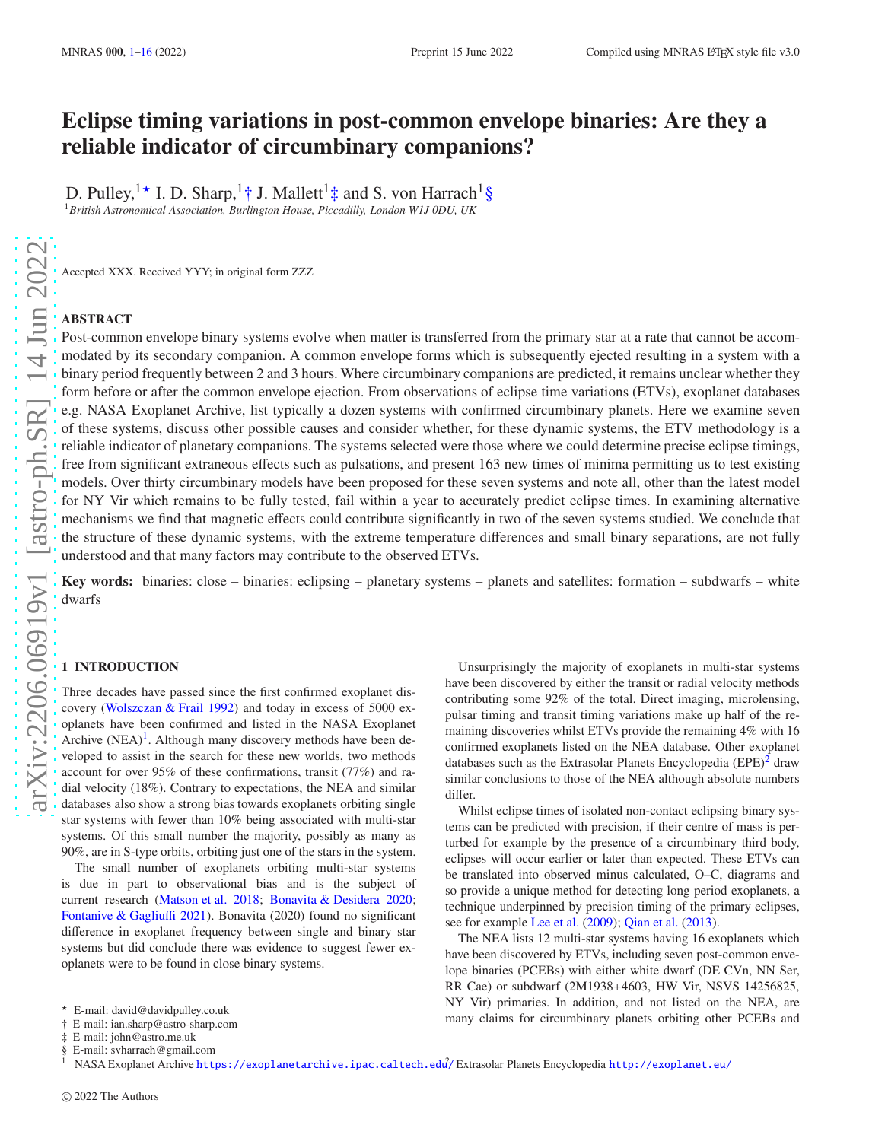# Eclipse timing variations in post-common envelope binaries: Are they a reliable indicator of circumbinary companions?

D. Pulley, <sup>1</sup><sup>★</sup> I. D. Sharp, <sup>1</sup><sup>+</sup> J. Mallett<sup>1</sup><sup> $\ddagger$ </sup> and S. von Harrach<sup>1</sup>§ <sup>1</sup>*British Astronomical Association, Burlington House, Piccadilly, London W1J 0DU, UK*

Accepted XXX. Received YYY; in original form ZZZ

#### ABSTRACT

Post-common envelope binary systems evolve when matter is transferred from the primary star at a rate that cannot be accommodated by its secondary companion. A common envelope forms which is subsequently ejected resulting in a system with a binary period frequently between 2 and 3 hours. Where circumbinary companions are predicted, it remains unclear whether they form before or after the common envelope ejection. From observations of eclipse time variations (ETVs), exoplanet databases e.g. NASA Exoplanet Archive, list typically a dozen systems with confirmed circumbinary planets. Here we examine seven of these systems, discuss other possible causes and consider whether, for these dynamic systems, the ETV methodology is a reliable indicator of planetary companions. The systems selected were those where we could determine precise eclipse timings, free from significant extraneous effects such as pulsations, and present 163 new times of minima permitting us to test existing models. Over thirty circumbinary models have been proposed for these seven systems and note all, other than the latest model for NY Vir which remains to be fully tested, fail within a year to accurately predict eclipse times. In examining alternative mechanisms we find that magnetic effects could contribute significantly in two of the seven systems studied. We conclude that the structure of these dynamic systems, with the extreme temperature differences and small binary separations, are not fully understood and that many factors may contribute to the observed ETVs.

Key words: binaries: close – binaries: eclipsing – planetary systems – planets and satellites: formation – subdwarfs – white dwarfs

#### <span id="page-0-0"></span>1 INTRODUCTION

Three decades have passed since the first confirmed exoplanet discovery [\(Wolszczan & Frail 1992](#page-12-0)) and today in excess of 5000 exoplanets have been confirmed and listed in the NASA Exoplanet Archive  $(NEA)^1$  $(NEA)^1$ . Although many discovery methods have been developed to assist in the search for these new worlds, two methods account for over 95% of these confirmations, transit (77%) and radial velocity (18%). Contrary to expectations, the NEA and similar databases also show a strong bias towards exoplanets orbiting single star systems with fewer than 10% being associated with multi-star systems. Of this small number the majority, possibly as many as 90%, are in S-type orbits, orbiting just one of the stars in the system.

The small number of exoplanets orbiting multi-star systems is due in part to observational bias and is the subject of current research [\(Matson et al. 2018;](#page-11-0) [Bonavita & Desidera 2020](#page-11-1); [Fontanive & Gagliu](#page-11-2)ffi [2021](#page-11-2)). Bonavita (2020) found no significant difference in exoplanet frequency between single and binary star systems but did conclude there was evidence to suggest fewer exoplanets were to be found in close binary systems.

Unsurprisingly the majority of exoplanets in multi-star systems have been discovered by either the transit or radial velocity methods contributing some 92% of the total. Direct imaging, microlensing, pulsar timing and transit timing variations make up half of the remaining discoveries whilst ETVs provide the remaining 4% with 16 confirmed exoplanets listed on the NEA database. Other exoplanet databases such as the Extrasolar Planets Encyclopedia (EPE)<sup>[2](#page-0-2)</sup> draw similar conclusions to those of the NEA although absolute numbers differ

Whilst eclipse times of isolated non-contact eclipsing binary systems can be predicted with precision, if their centre of mass is perturbed for example by the presence of a circumbinary third body, eclipses will occur earlier or later than expected. These ETVs can be translated into observed minus calculated, O–C, diagrams and so provide a unique method for detecting long period exoplanets, a technique underpinned by precision timing of the primary eclipses, see for example [Lee et al.](#page-11-3) [\(2009](#page-11-3)); [Qian et al.](#page-11-4) [\(2013](#page-11-4)).

<span id="page-0-2"></span>The NEA lists 12 multi-star systems having 16 exoplanets which have been discovered by ETVs, including seven post-common envelope binaries (PCEBs) with either white dwarf (DE CVn, NN Ser, RR Cae) or subdwarf (2M1938+4603, HW Vir, NSVS 14256825, NY Vir) primaries. In addition, and not listed on the NEA, are many claims for circumbinary planets orbiting other PCEBs and

<sup>⋆</sup> E-mail: david@davidpulley.co.uk

<sup>†</sup> E-mail: ian.sharp@astro-sharp.com

<sup>‡</sup> E-mail: john@astro.me.uk

<sup>§</sup> E-mail: svharrach@gmail.com

<span id="page-0-1"></span><sup>&</sup>lt;sup>1</sup> NASA Exoplanet Archive https://exoplanetarchive.ipac.caltech.edu<sup>2</sup>/ Extrasolar Planets Encyclopedia <http://exoplanet.eu/>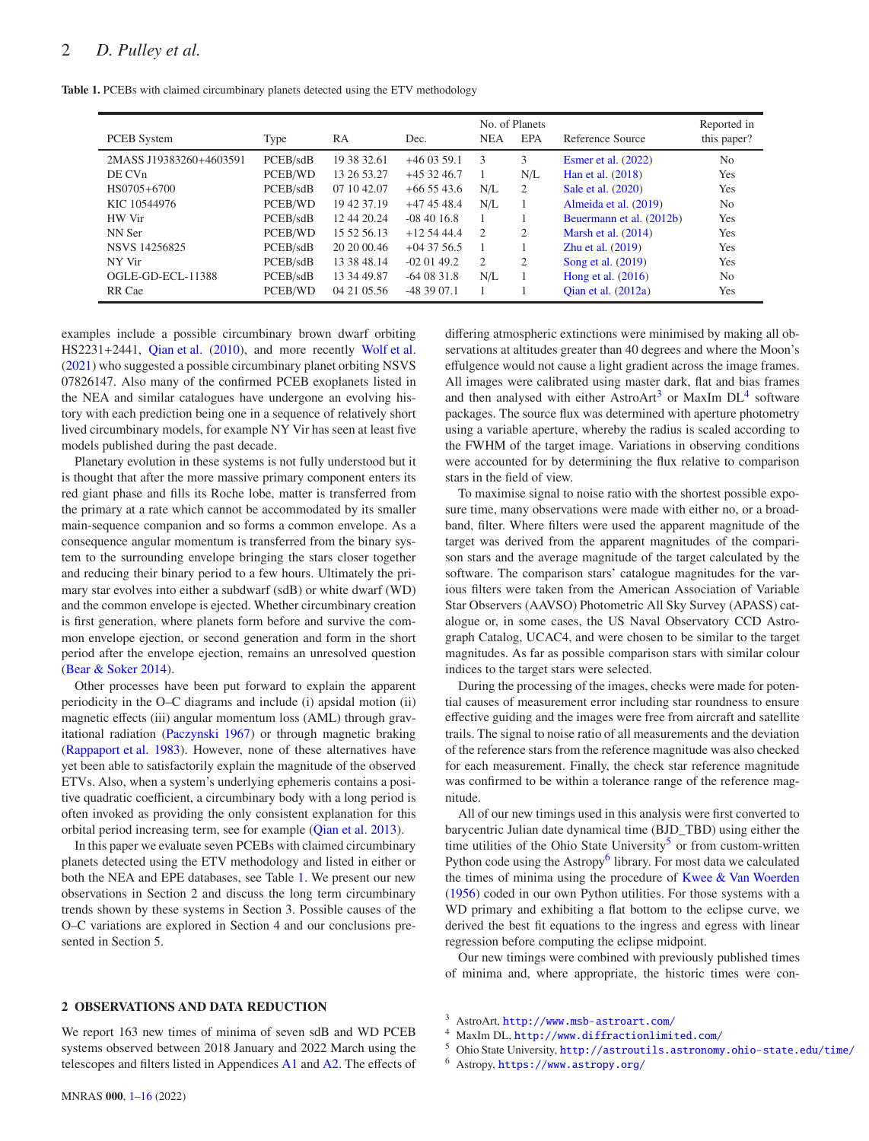<span id="page-1-0"></span>Table 1. PCEBs with claimed circumbinary planets detected using the ETV methodology

| <b>PCEB</b> System      | Type     | RA          | Dec.         | <b>NEA</b>                  | No. of Planets<br>EPA | Reference Source         | Reported in<br>this paper? |
|-------------------------|----------|-------------|--------------|-----------------------------|-----------------------|--------------------------|----------------------------|
| 2MASS J19383260+4603591 | PCEB/sdB | 19 38 32.61 | $+460359.1$  | 3                           | 3                     | Esmer et al. $(2022)$    | N <sub>0</sub>             |
| DE CV <sub>n</sub>      | PCEB/WD  | 13 26 53.27 | $+453246.7$  |                             | N/L                   | Han et al. (2018)        | Yes                        |
| HS0705+6700             | PCEB/sdB | 07 10 42.07 | $+665543.6$  | N/L                         | 2                     | Sale et al. (2020)       | Yes                        |
| KIC 10544976            | PCEB/WD  | 19 42 37.19 | $+474548.4$  | N/L                         |                       | Almeida et al. (2019)    | N <sub>0</sub>             |
| HW Vir                  | PCEB/sdB | 12 44 20.24 | $-084016.8$  |                             |                       | Beuermann et al. (2012b) | Yes                        |
| NN Ser                  | PCEB/WD  | 15 52 56 13 | $+12.5444.4$ | $\mathcal{D}_{\mathcal{L}}$ | 2                     | Marsh et al. $(2014)$    | Yes                        |
| NSVS 14256825           | PCEB/sdB | 20 20 00:46 | $+043756.5$  |                             |                       | Zhu et al. (2019)        | Yes                        |
| NY Vir                  | PCEB/sdB | 13 38 48.14 | $-020149.2$  | $\overline{c}$              | 2                     | Song et al. (2019)       | Yes                        |
| OGLE-GD-ECL-11388       | PCEB/sdB | 13 34 49.87 | $-640831.8$  | N/L                         |                       | Hong et al. $(2016)$     | N <sub>0</sub>             |
| RR Cae                  | PCEB/WD  | 04 21 05.56 | $-483907.1$  |                             |                       | Qian et al. (2012a)      | Yes                        |

examples include a possible circumbinary brown dwarf orbiting HS2231+2441, [Qian et al.](#page-11-12) [\(2010](#page-11-12)), and more recently [Wolf et al.](#page-12-4) [\(2021](#page-12-4)) who suggested a possible circumbinary planet orbiting NSVS 07826147. Also many of the confirmed PCEB exoplanets listed in the NEA and similar catalogues have undergone an evolving history with each prediction being one in a sequence of relatively short lived circumbinary models, for example NY Vir has seen at least five models published during the past decade.

Planetary evolution in these systems is not fully understood but it is thought that after the more massive primary component enters its red giant phase and fills its Roche lobe, matter is transferred from the primary at a rate which cannot be accommodated by its smaller main-sequence companion and so forms a common envelope. As a consequence angular momentum is transferred from the binary system to the surrounding envelope bringing the stars closer together and reducing their binary period to a few hours. Ultimately the primary star evolves into either a subdwarf (sdB) or white dwarf (WD) and the common envelope is ejected. Whether circumbinary creation is first generation, where planets form before and survive the common envelope ejection, or second generation and form in the short period after the envelope ejection, remains an unresolved question [\(Bear & Soker 2014](#page-11-13)).

Other processes have been put forward to explain the apparent periodicity in the O–C diagrams and include (i) apsidal motion (ii) magnetic effects (iii) angular momentum loss (AML) through gravitational radiation [\(Paczynski 1967](#page-11-14)) or through magnetic braking [\(Rappaport et al. 1983](#page-12-5)). However, none of these alternatives have yet been able to satisfactorily explain the magnitude of the observed ETVs. Also, when a system's underlying ephemeris contains a positive quadratic coefficient, a circumbinary body with a long period is often invoked as providing the only consistent explanation for this orbital period increasing term, see for example [\(Qian et al. 2013](#page-11-4)).

In this paper we evaluate seven PCEBs with claimed circumbinary planets detected using the ETV methodology and listed in either or both the NEA and EPE databases, see Table [1.](#page-1-0) We present our new observations in Section 2 and discuss the long term circumbinary trends shown by these systems in Section 3. Possible causes of the O–C variations are explored in Section 4 and our conclusions presented in Section 5.

#### 2 OBSERVATIONS AND DATA REDUCTION

We report 163 new times of minima of seven sdB and WD PCEB systems observed between 2018 January and 2022 March using the telescopes and filters listed in Appendices [A1](#page-13-0) and [A2.](#page-14-0) The effects of differing atmospheric extinctions were minimised by making all observations at altitudes greater than 40 degrees and where the Moon's effulgence would not cause a light gradient across the image frames. All images were calibrated using master dark, flat and bias frames and then analysed with either AstroArt<sup>[3](#page-1-1)</sup> or MaxIm  $DL<sup>4</sup>$  $DL<sup>4</sup>$  $DL<sup>4</sup>$  software packages. The source flux was determined with aperture photometry using a variable aperture, whereby the radius is scaled according to the FWHM of the target image. Variations in observing conditions were accounted for by determining the flux relative to comparison stars in the field of view.

To maximise signal to noise ratio with the shortest possible exposure time, many observations were made with either no, or a broadband, filter. Where filters were used the apparent magnitude of the target was derived from the apparent magnitudes of the comparison stars and the average magnitude of the target calculated by the software. The comparison stars' catalogue magnitudes for the various filters were taken from the American Association of Variable Star Observers (AAVSO) Photometric All Sky Survey (APASS) catalogue or, in some cases, the US Naval Observatory CCD Astrograph Catalog, UCAC4, and were chosen to be similar to the target magnitudes. As far as possible comparison stars with similar colour indices to the target stars were selected.

During the processing of the images, checks were made for potential causes of measurement error including star roundness to ensure effective guiding and the images were free from aircraft and satellite trails. The signal to noise ratio of all measurements and the deviation of the reference stars from the reference magnitude was also checked for each measurement. Finally, the check star reference magnitude was confirmed to be within a tolerance range of the reference magnitude.

All of our new timings used in this analysis were first converted to barycentric Julian date dynamical time (BJD\_TBD) using either the time utilities of the Ohio State University<sup>[5](#page-1-3)</sup> or from custom-written Python code using the Astropy<sup>[6](#page-1-4)</sup> library. For most data we calculated the times of minima using the procedure of [Kwee & Van Woerden](#page-11-15) [\(1956](#page-11-15)) coded in our own Python utilities. For those systems with a WD primary and exhibiting a flat bottom to the eclipse curve, we derived the best fit equations to the ingress and egress with linear regression before computing the eclipse midpoint.

Our new timings were combined with previously published times of minima and, where appropriate, the historic times were con-

- <span id="page-1-1"></span><sup>4</sup> MaxIm DL, <http://www.diffractionlimited.com/>
- <span id="page-1-2"></span><sup>5</sup> Ohio State University, <http://astroutils.astronomy.ohio-state.edu/time/>
- <span id="page-1-4"></span><span id="page-1-3"></span><sup>6</sup> Astropy, <https://www.astropy.org/>

<sup>3</sup> AstroArt, <http://www.msb-astroart.com/>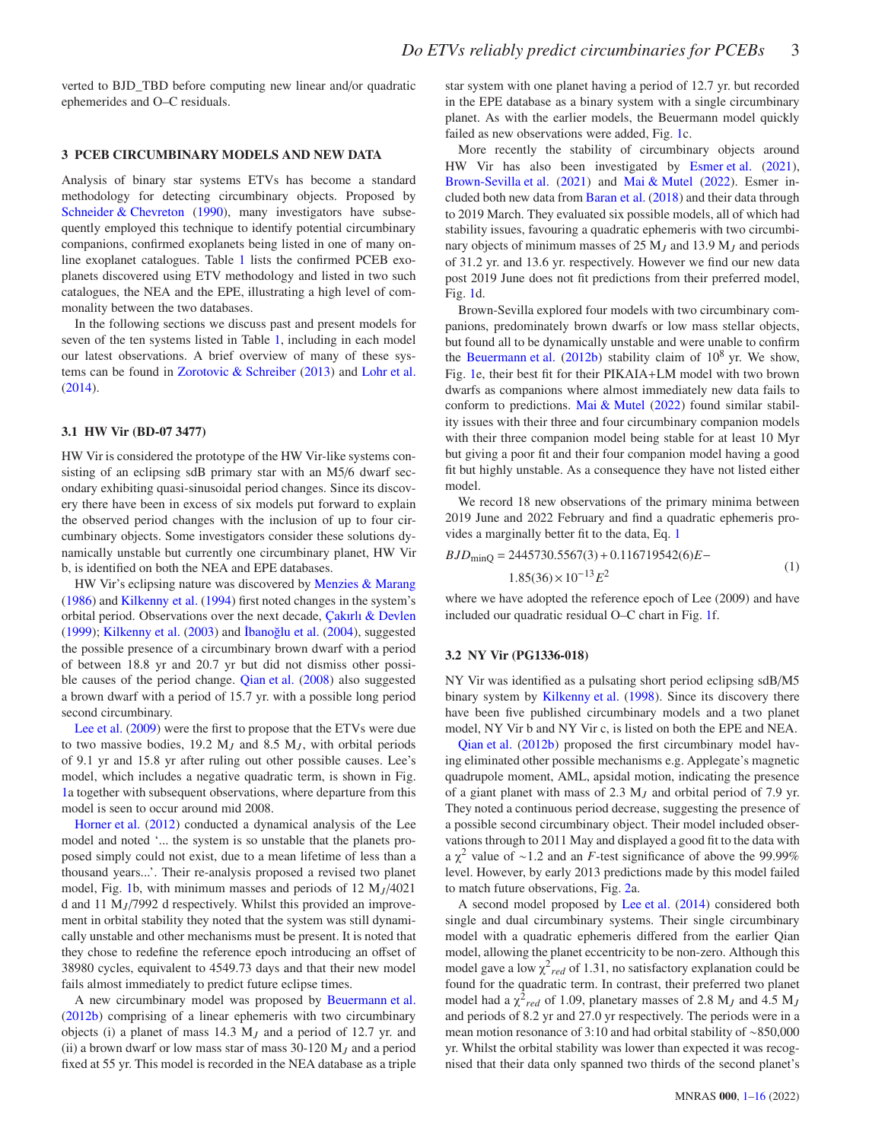verted to BJD\_TBD before computing new linear and/or quadratic ephemerides and O–C residuals.

#### 3 PCEB CIRCUMBINARY MODELS AND NEW DATA

Analysis of binary star systems ETVs has become a standard methodology for detecting circumbinary objects. Proposed by [Schneider & Chevreton](#page-12-6) [\(1990](#page-12-6)), many investigators have subsequently employed this technique to identify potential circumbinary companions, confirmed exoplanets being listed in one of many online exoplanet catalogues. Table [1](#page-1-0) lists the confirmed PCEB exoplanets discovered using ETV methodology and listed in two such catalogues, the NEA and the EPE, illustrating a high level of commonality between the two databases.

In the following sections we discuss past and present models for seven of the ten systems listed in Table [1,](#page-1-0) including in each model our latest observations. A brief overview of many of these systems can be found in [Zorotovic & Schreiber](#page-12-7) [\(2013](#page-12-7)) and [Lohr et al.](#page-11-16) [\(2014](#page-11-16)).

#### 3.1 HW Vir (BD-07 3477)

HW Vir is considered the prototype of the HW Vir-like systems consisting of an eclipsing sdB primary star with an M5/6 dwarf secondary exhibiting quasi-sinusoidal period changes. Since its discovery there have been in excess of six models put forward to explain the observed period changes with the inclusion of up to four circumbinary objects. Some investigators consider these solutions dynamically unstable but currently one circumbinary planet, HW Vir b, is identified on both the NEA and EPE databases.

HW Vir's eclipsing nature was discovered by [Menzies & Marang](#page-11-17) [\(1986](#page-11-17)) and [Kilkenny et al.](#page-11-18) [\(1994\)](#page-11-18) first noted changes in the system's orbital period. Observations over the next decade, [Çakırlı & Devlen](#page-11-19)  $(1999)$  $(1999)$ ; [Kilkenny et al.](#page-11-20)  $(2003)$  and  $\overline{1}$ banoğlu et al.  $(2004)$  $(2004)$ , suggested the possible presence of a circumbinary brown dwarf with a period of between 18.8 yr and 20.7 yr but did not dismiss other possible causes of the period change. [Qian et al.](#page-11-22) [\(2008\)](#page-11-22) also suggested a brown dwarf with a period of 15.7 yr. with a possible long period second circumbinary.

[Lee et al.](#page-11-3) [\(2009](#page-11-3)) were the first to propose that the ETVs were due to two massive bodies, 19.2  $M_J$  and 8.5  $M_J$ , with orbital periods of 9.1 yr and 15.8 yr after ruling out other possible causes. Lee's model, which includes a negative quadratic term, is shown in Fig. [1a](#page-3-0) together with subsequent observations, where departure from this model is seen to occur around mid 2008.

[Horner et al.](#page-11-23) [\(2012](#page-11-23)) conducted a dynamical analysis of the Lee model and noted '... the system is so unstable that the planets proposed simply could not exist, due to a mean lifetime of less than a thousand years...'. Their re-analysis proposed a revised two planet model, Fig. [1b](#page-3-0), with minimum masses and periods of 12 M*<sup>J</sup>* /4021 d and 11 M*<sup>J</sup>* /7992 d respectively. Whilst this provided an improvement in orbital stability they noted that the system was still dynamically unstable and other mechanisms must be present. It is noted that they chose to redefine the reference epoch introducing an offset of 38980 cycles, equivalent to 4549.73 days and that their new model fails almost immediately to predict future eclipse times.

A new circumbinary model was proposed by [Beuermann et al.](#page-11-8) [\(2012b](#page-11-8)) comprising of a linear ephemeris with two circumbinary objects (i) a planet of mass 14.3 M*<sup>J</sup>* and a period of 12.7 yr. and (ii) a brown dwarf or low mass star of mass 30-120 M*<sup>J</sup>* and a period fixed at 55 yr. This model is recorded in the NEA database as a triple star system with one planet having a period of 12.7 yr. but recorded in the EPE database as a binary system with a single circumbinary planet. As with the earlier models, the Beuermann model quickly failed as new observations were added, Fig. [1c](#page-3-0).

More recently the stability of circumbinary objects around HW Vir has also been investigated by [Esmer et al.](#page-11-24) [\(2021](#page-11-24)), [Brown-Sevilla et al.](#page-11-25) [\(2021](#page-11-25)) and [Mai & Mutel](#page-11-26) [\(2022\)](#page-11-26). Esmer included both new data from [Baran et al.](#page-11-27) [\(2018](#page-11-27)) and their data through to 2019 March. They evaluated six possible models, all of which had stability issues, favouring a quadratic ephemeris with two circumbinary objects of minimum masses of 25 M*<sup>J</sup>* and 13.9 M*<sup>J</sup>* and periods of 31.2 yr. and 13.6 yr. respectively. However we find our new data post 2019 June does not fit predictions from their preferred model, Fig. [1d](#page-3-0).

Brown-Sevilla explored four models with two circumbinary companions, predominately brown dwarfs or low mass stellar objects, but found all to be dynamically unstable and were unable to confirm the [Beuermann et al.](#page-11-8) [\(2012b\)](#page-11-8) stability claim of  $10^8$  yr. We show, Fig. [1e](#page-3-0), their best fit for their PIKAIA+LM model with two brown dwarfs as companions where almost immediately new data fails to conform to predictions. [Mai & Mutel](#page-11-26) [\(2022](#page-11-26)) found similar stability issues with their three and four circumbinary companion models with their three companion model being stable for at least 10 Myr but giving a poor fit and their four companion model having a good fit but highly unstable. As a consequence they have not listed either model.

We record 18 new observations of the primary minima between 2019 June and 2022 February and find a quadratic ephemeris provides a marginally better fit to the data, Eq. [1](#page-2-0)

<span id="page-2-0"></span>
$$
BJD_{\text{minQ}} = 2445730.5567(3) + 0.116719542(6)E -
$$
  
1.85(36) × 10<sup>-13</sup>E<sup>2</sup> (1)

where we have adopted the reference epoch of Lee (2009) and have included our quadratic residual O–C chart in Fig. [1f](#page-3-0).

#### 3.2 NY Vir (PG1336-018)

NY Vir was identified as a pulsating short period eclipsing sdB/M5 binary system by [Kilkenny et al.](#page-11-28) [\(1998\)](#page-11-28). Since its discovery there have been five published circumbinary models and a two planet model, NY Vir b and NY Vir c, is listed on both the EPE and NEA.

[Qian et al.](#page-11-29) [\(2012b](#page-11-29)) proposed the first circumbinary model having eliminated other possible mechanisms e.g. Applegate's magnetic quadrupole moment, AML, apsidal motion, indicating the presence of a giant planet with mass of 2.3 M*<sup>J</sup>* and orbital period of 7.9 yr. They noted a continuous period decrease, suggesting the presence of a possible second circumbinary object. Their model included observations through to 2011 May and displayed a good fit to the data with a  $\chi^2$  value of ~1.2 and an *F*-test significance of above the 99.99% level. However, by early 2013 predictions made by this model failed to match future observations, Fig. [2a](#page-4-0).

A second model proposed by [Lee et al.](#page-11-30) [\(2014\)](#page-11-30) considered both single and dual circumbinary systems. Their single circumbinary model with a quadratic ephemeris differed from the earlier Qian model, allowing the planet eccentricity to be non-zero. Although this model gave a low  $\chi^2_{red}$  of 1.31, no satisfactory explanation could be found for the quadratic term. In contrast, their preferred two planet model had a  $\chi^2_{red}$  of 1.09, planetary masses of 2.8 M<sub>J</sub> and 4.5 M<sub>J</sub> and periods of 8.2 yr and 27.0 yr respectively. The periods were in a mean motion resonance of 3:10 and had orbital stability of ∼850,000 yr. Whilst the orbital stability was lower than expected it was recognised that their data only spanned two thirds of the second planet's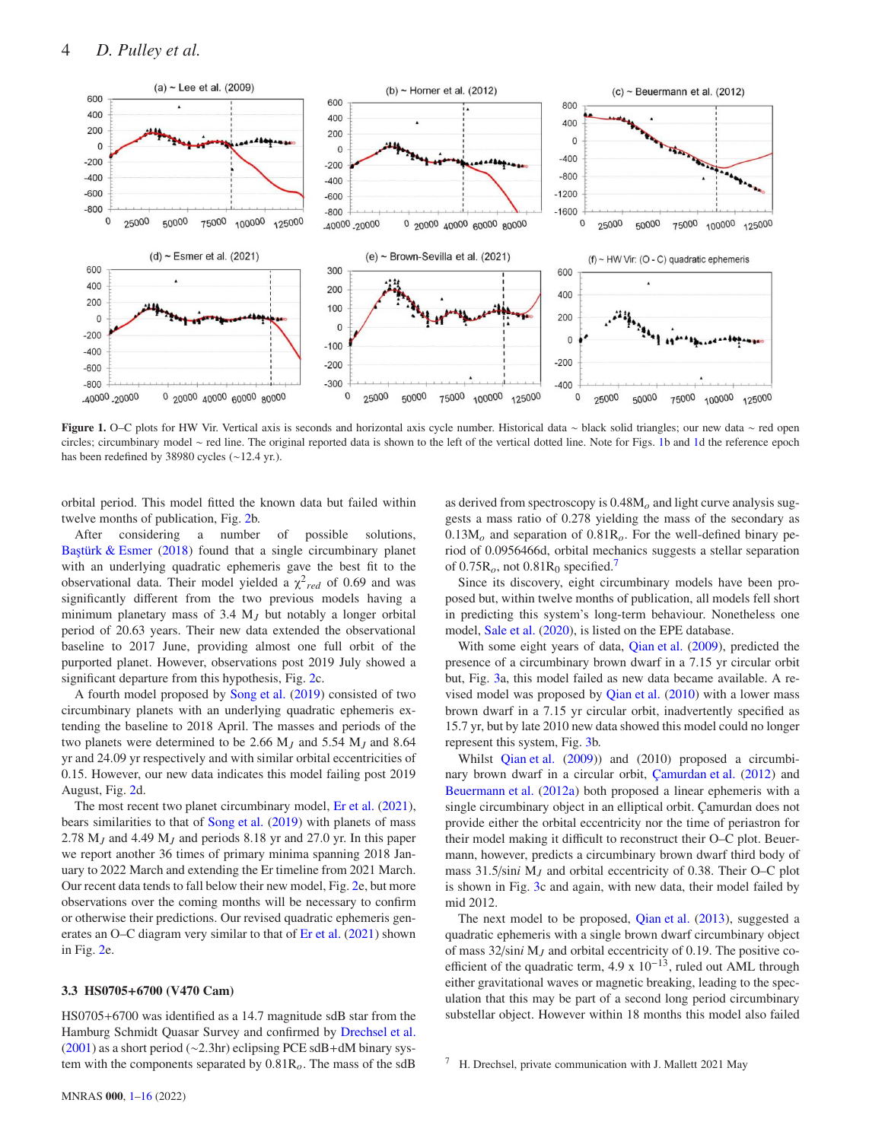<span id="page-3-0"></span>

Figure 1. O–C plots for HW Vir. Vertical axis is seconds and horizontal axis cycle number. Historical data ∼ black solid triangles; our new data ∼ red open circles; circumbinary model ∼ red line. The original reported data is shown to the left of the vertical dotted line. Note for Figs. [1b](#page-3-0) and [1d](#page-3-0) the reference epoch has been redefined by 38980 cycles (∼12.4 yr.).

orbital period. This model fitted the known data but failed within twelve months of publication, Fig. [2b](#page-4-0).

After considering a number of possible solutions, Baştürk  $&$  Esmer [\(2018](#page-11-31)) found that a single circumbinary planet with an underlying quadratic ephemeris gave the best fit to the observational data. Their model yielded a  $\chi^2_{red}$  of 0.69 and was significantly different from the two previous models having a minimum planetary mass of 3.4 M*<sup>J</sup>* but notably a longer orbital period of 20.63 years. Their new data extended the observational baseline to 2017 June, providing almost one full orbit of the purported planet. However, observations post 2019 July showed a significant departure from this hypothesis, Fig. [2c](#page-4-0).

A fourth model proposed by [Song et al.](#page-12-3) [\(2019](#page-12-3)) consisted of two circumbinary planets with an underlying quadratic ephemeris extending the baseline to 2018 April. The masses and periods of the two planets were determined to be 2.66 M*<sup>J</sup>* and 5.54 M*<sup>J</sup>* and 8.64 yr and 24.09 yr respectively and with similar orbital eccentricities of 0.15. However, our new data indicates this model failing post 2019 August, Fig. [2d](#page-4-0).

The most recent two planet circumbinary model, [Er et al.](#page-11-32) [\(2021\)](#page-11-32), bears similarities to that of [Song et al.](#page-12-3) [\(2019](#page-12-3)) with planets of mass 2.78 M*<sup>J</sup>* and 4.49 M*<sup>J</sup>* and periods 8.18 yr and 27.0 yr. In this paper we report another 36 times of primary minima spanning 2018 January to 2022 March and extending the Er timeline from 2021 March. Our recent data tends to fall below their new model, Fig. [2e](#page-4-0), but more observations over the coming months will be necessary to confirm or otherwise their predictions. Our revised quadratic ephemeris generates an O–C diagram very similar to that of [Er et al.](#page-11-32) [\(2021\)](#page-11-32) shown in Fig. [2e](#page-4-0).

#### 3.3 HS0705+6700 (V470 Cam)

HS0705+6700 was identified as a 14.7 magnitude sdB star from the Hamburg Schmidt Quasar Survey and confirmed by [Drechsel et al.](#page-11-33) [\(2001](#page-11-33)) as a short period (∼2.3hr) eclipsing PCE sdB+dM binary system with the components separated by 0.81R*o*. The mass of the sdB as derived from spectroscopy is 0.48M*<sup>o</sup>* and light curve analysis suggests a mass ratio of 0.278 yielding the mass of the secondary as  $0.13M<sub>o</sub>$  and separation of  $0.81R<sub>o</sub>$ . For the well-defined binary period of 0.0956466d, orbital mechanics suggests a stellar separation of  $0.75R<sub>o</sub>$  $0.75R<sub>o</sub>$  $0.75R<sub>o</sub>$ , not  $0.81R<sub>0</sub>$  specified.<sup>7</sup>

Since its discovery, eight circumbinary models have been proposed but, within twelve months of publication, all models fell short in predicting this system's long-term behaviour. Nonetheless one model, [Sale et al.](#page-12-1) [\(2020](#page-12-1)), is listed on the EPE database.

With some eight years of data, [Qian et al.](#page-11-34) [\(2009](#page-11-34)), predicted the presence of a circumbinary brown dwarf in a 7.15 yr circular orbit but, Fig. [3a](#page-5-0), this model failed as new data became available. A revised model was proposed by [Qian et al.](#page-11-12) [\(2010](#page-11-12)) with a lower mass brown dwarf in a 7.15 yr circular orbit, inadvertently specified as 15.7 yr, but by late 2010 new data showed this model could no longer represent this system, Fig. [3b](#page-5-0).

Whilst [Qian et al.](#page-11-34) [\(2009\)](#page-11-34)) and (2010) proposed a circumbinary brown dwarf in a circular orbit, [Çamurdan et al.](#page-11-35) [\(2012](#page-11-35)) and [Beuermann et al.](#page-11-36) [\(2012a](#page-11-36)) both proposed a linear ephemeris with a single circumbinary object in an elliptical orbit. Çamurdan does not provide either the orbital eccentricity nor the time of periastron for their model making it difficult to reconstruct their O–C plot. Beuermann, however, predicts a circumbinary brown dwarf third body of mass 31.5/sin*i* M*<sup>J</sup>* and orbital eccentricity of 0.38. Their O–C plot is shown in Fig. [3c](#page-5-0) and again, with new data, their model failed by mid 2012.

The next model to be proposed, [Qian et al.](#page-11-4) [\(2013](#page-11-4)), suggested a quadratic ephemeris with a single brown dwarf circumbinary object of mass 32/sin*i* M*<sup>J</sup>* and orbital eccentricity of 0.19. The positive coefficient of the quadratic term,  $4.9 \times 10^{-13}$ , ruled out AML through either gravitational waves or magnetic breaking, leading to the speculation that this may be part of a second long period circumbinary substellar object. However within 18 months this model also failed

<span id="page-3-1"></span>H. Drechsel, private communication with J. Mallett 2021 May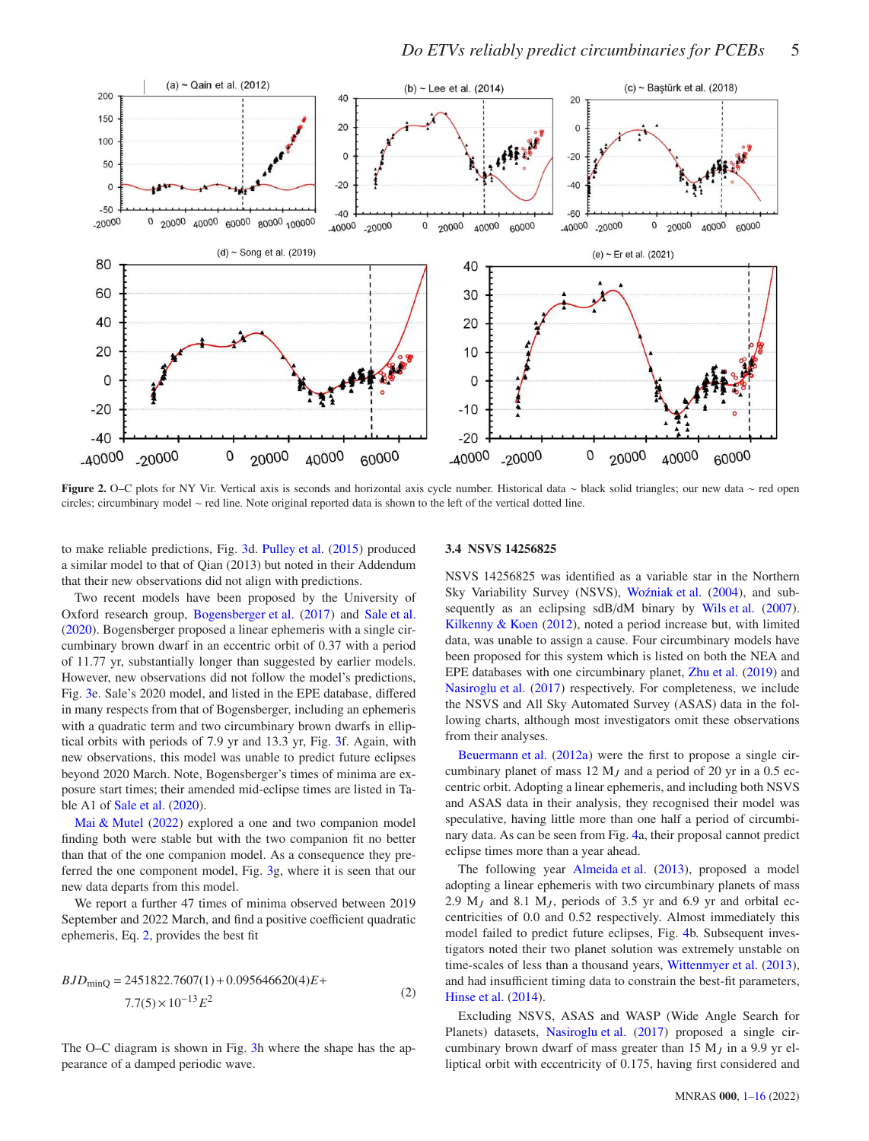<span id="page-4-0"></span>

Figure 2. O–C plots for NY Vir. Vertical axis is seconds and horizontal axis cycle number. Historical data ∼ black solid triangles; our new data ∼ red open circles; circumbinary model ∼ red line. Note original reported data is shown to the left of the vertical dotted line.

to make reliable predictions, Fig. [3d](#page-5-0). [Pulley et al.](#page-11-37) [\(2015](#page-11-37)) produced a similar model to that of Qian (2013) but noted in their Addendum that their new observations did not align with predictions.

Two recent models have been proposed by the University of Oxford research group, [Bogensberger et al.](#page-11-38) [\(2017](#page-11-38)) and [Sale et al.](#page-12-1) [\(2020](#page-12-1)). Bogensberger proposed a linear ephemeris with a single circumbinary brown dwarf in an eccentric orbit of 0.37 with a period of 11.77 yr, substantially longer than suggested by earlier models. However, new observations did not follow the model's predictions, Fig. [3e](#page-5-0). Sale's 2020 model, and listed in the EPE database, differed in many respects from that of Bogensberger, including an ephemeris with a quadratic term and two circumbinary brown dwarfs in elliptical orbits with periods of 7.9 yr and 13.3 yr, Fig. [3f](#page-5-0). Again, with new observations, this model was unable to predict future eclipses beyond 2020 March. Note, Bogensberger's times of minima are exposure start times; their amended mid-eclipse times are listed in Table A1 of [Sale et al.](#page-12-1) [\(2020](#page-12-1)).

[Mai & Mutel](#page-11-26) [\(2022](#page-11-26)) explored a one and two companion model finding both were stable but with the two companion fit no better than that of the one companion model. As a consequence they preferred the one component model, Fig. [3g](#page-5-0), where it is seen that our new data departs from this model.

We report a further 47 times of minima observed between 2019 September and 2022 March, and find a positive coefficient quadratic ephemeris, Eq. [2,](#page-4-1) provides the best fit

$$
BJD_{\text{minQ}} = 2451822.7607(1) + 0.095646620(4)E +
$$
  
7.7(5) × 10<sup>-13</sup>E<sup>2</sup> (2)

The O–C diagram is shown in Fig. [3h](#page-5-0) where the shape has the appearance of a damped periodic wave.

#### 3.4 NSVS 14256825

NSVS 14256825 was identified as a variable star in the Northern Sky Variability Survey (NSVS), Woźniak et al. [\(2004](#page-12-8)), and sub-sequently as an eclipsing sdB/dM binary by [Wils et al.](#page-12-9) [\(2007](#page-12-9)). [Kilkenny & Koen](#page-11-39) [\(2012](#page-11-39)), noted a period increase but, with limited data, was unable to assign a cause. Four circumbinary models have been proposed for this system which is listed on both the NEA and EPE databases with one circumbinary planet, [Zhu et al.](#page-12-2) [\(2019\)](#page-12-2) and [Nasiroglu et al.](#page-11-40) [\(2017](#page-11-40)) respectively. For completeness, we include the NSVS and All Sky Automated Survey (ASAS) data in the following charts, although most investigators omit these observations from their analyses.

[Beuermann et al.](#page-11-36) [\(2012a](#page-11-36)) were the first to propose a single circumbinary planet of mass 12 M*<sup>J</sup>* and a period of 20 yr in a 0.5 eccentric orbit. Adopting a linear ephemeris, and including both NSVS and ASAS data in their analysis, they recognised their model was speculative, having little more than one half a period of circumbinary data. As can be seen from Fig. [4a](#page-6-0), their proposal cannot predict eclipse times more than a year ahead.

<span id="page-4-1"></span>The following year [Almeida et al.](#page-11-41) [\(2013](#page-11-41)), proposed a model adopting a linear ephemeris with two circumbinary planets of mass 2.9  $M_J$  and 8.1  $M_J$ , periods of 3.5 yr and 6.9 yr and orbital eccentricities of 0.0 and 0.52 respectively. Almost immediately this model failed to predict future eclipses, Fig. [4b](#page-6-0). Subsequent investigators noted their two planet solution was extremely unstable on time-scales of less than a thousand years, [Wittenmyer et al.](#page-12-10) [\(2013](#page-12-10)), and had insufficient timing data to constrain the best-fit parameters, [Hinse et al.](#page-11-42) [\(2014\)](#page-11-42).

Excluding NSVS, ASAS and WASP (Wide Angle Search for Planets) datasets, [Nasiroglu et al.](#page-11-40) [\(2017](#page-11-40)) proposed a single circumbinary brown dwarf of mass greater than 15 M*<sup>J</sup>* in a 9.9 yr elliptical orbit with eccentricity of 0.175, having first considered and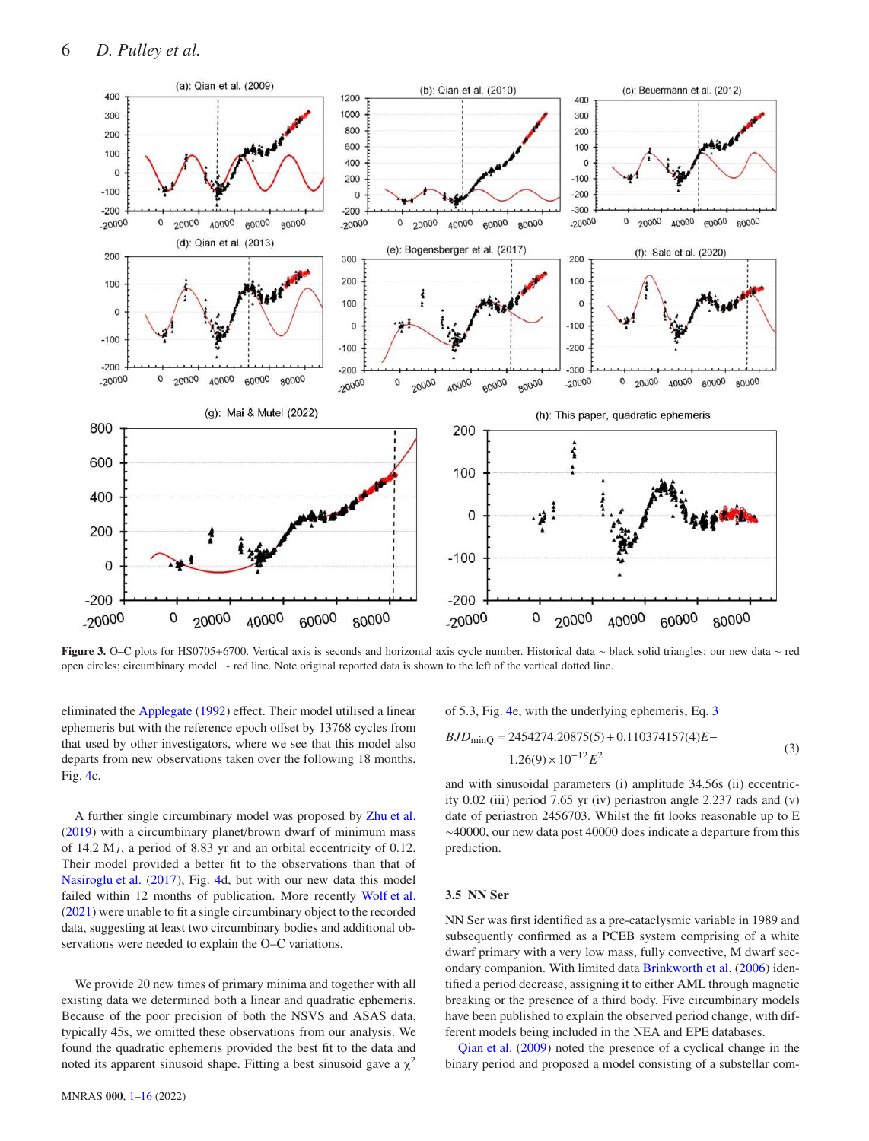<span id="page-5-0"></span>

Figure 3. O–C plots for HS0705+6700. Vertical axis is seconds and horizontal axis cycle number. Historical data ∼ black solid triangles; our new data ∼ red open circles; circumbinary model ∼ red line. Note original reported data is shown to the left of the vertical dotted line.

eliminated the [Applegate](#page-11-43) [\(1992\)](#page-11-43) effect. Their model utilised a linear ephemeris but with the reference epoch offset by 13768 cycles from that used by other investigators, where we see that this model also departs from new observations taken over the following 18 months, Fig. [4c](#page-6-0).

of 5.3, Fig. 4e, with the underlying ephemeris, Eq. 3  

$$
BJD_{\text{minO}} = 2454274.20875(5) + 0.110374157(4)E
$$

<span id="page-5-1"></span>
$$
1.26(9) \times 10^{-12} E^2
$$
 (3)

A further single circumbinary model was proposed by [Zhu et al.](#page-12-2) [\(2019](#page-12-2)) with a circumbinary planet/brown dwarf of minimum mass of 14.2  $M_J$ , a period of 8.83 yr and an orbital eccentricity of 0.12. Their model provided a better fit to the observations than that of [Nasiroglu et al.](#page-11-40) [\(2017](#page-11-40)), Fig. [4d](#page-6-0), but with our new data this model failed within 12 months of publication. More recently [Wolf et al.](#page-12-4) [\(2021](#page-12-4)) were unable to fit a single circumbinary object to the recorded data, suggesting at least two circumbinary bodies and additional observations were needed to explain the O–C variations.

We provide 20 new times of primary minima and together with all existing data we determined both a linear and quadratic ephemeris. Because of the poor precision of both the NSVS and ASAS data, typically 45s, we omitted these observations from our analysis. We found the quadratic ephemeris provided the best fit to the data and noted its apparent sinusoid shape. Fitting a best sinusoid gave a  $\chi^2$ 

MNRAS 000, [1](#page-0-0)[–16](#page-14-0) (2022)

$$
1.26(9) \times 10^{-12} E^2
$$
  
and with sinusoidal parameters (i) amplitude 34.56s (ii) eccentric-  
ity 0.02 (iii) period 7.65 yr (iv) periastron angle 2.237 rads and (v)  
date of periastron 2456703. Whilst the fit looks reasonable up to E  
 $\sim$ 40000, our new data post 40000 does indicate a departure from this

#### 3.5 NN Ser

prediction.

NN Ser was first identified as a pre-cataclysmic variable in 1989 and subsequently confirmed as a PCEB system comprising of a white dwarf primary with a very low mass, fully convective, M dwarf secondary companion. With limited data [Brinkworth et al.](#page-11-44) [\(2006\)](#page-11-44) identified a period decrease, assigning it to either AML through magnetic breaking or the presence of a third body. Five circumbinary models have been published to explain the observed period change, with different models being included in the NEA and EPE databases.

[Qian et al.](#page-11-34) [\(2009](#page-11-34)) noted the presence of a cyclical change in the binary period and proposed a model consisting of a substellar com-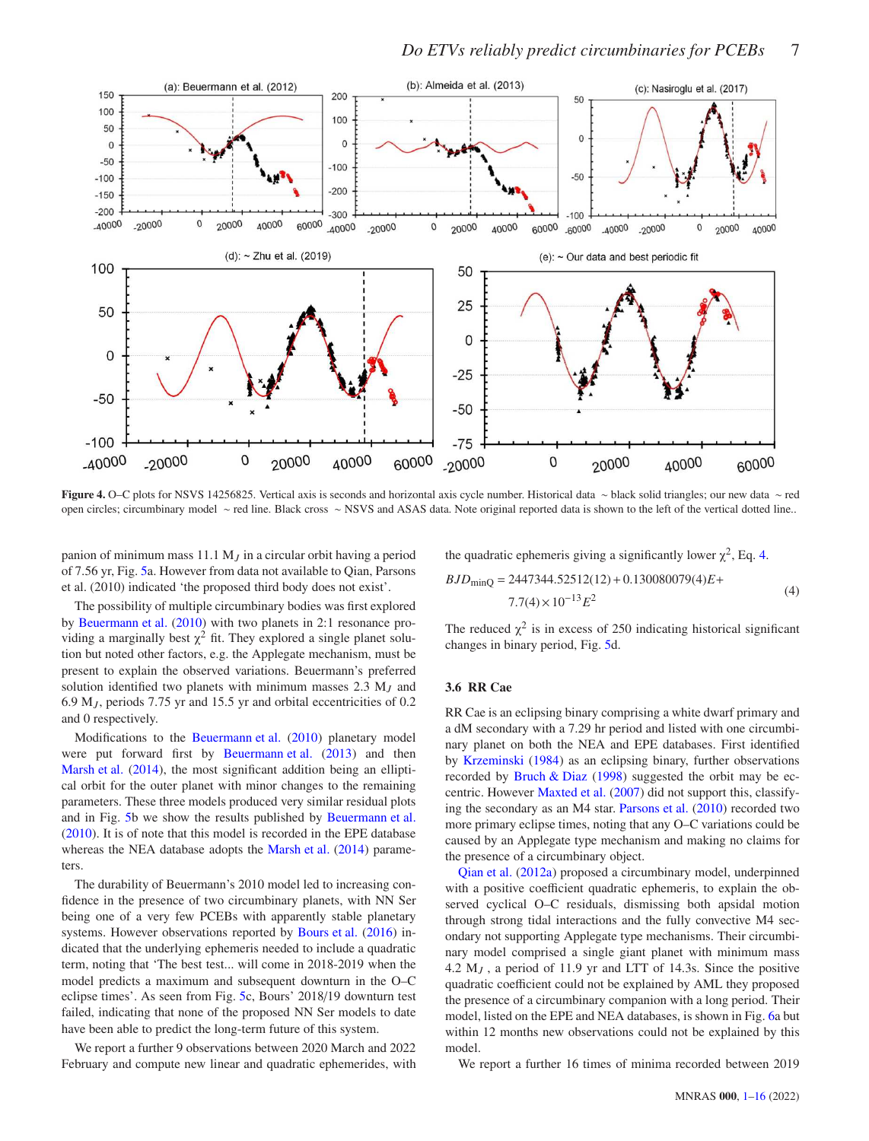<span id="page-6-0"></span>

### *Do ETVs reliably predict circumbinaries for PCEBs* 7

Figure 4. O–C plots for NSVS 14256825. Vertical axis is seconds and horizontal axis cycle number. Historical data ∼ black solid triangles; our new data ∼ red open circles; circumbinary model ∼ red line. Black cross ∼ NSVS and ASAS data. Note original reported data is shown to the left of the vertical dotted line..

panion of minimum mass 11.1 M*<sup>J</sup>* in a circular orbit having a period of 7.56 yr, Fig. [5a](#page-7-0). However from data not available to Qian, Parsons et al. (2010) indicated 'the proposed third body does not exist'.

the quadratic ephemeris giving a significantly lower  $\chi^2$ , Eq. [4.](#page-6-1)

<span id="page-6-1"></span>
$$
BJD_{\text{minQ}} = 2447344.52512(12) + 0.130080079(4)E +
$$
  
7.7(4) × 10<sup>-13</sup>E<sup>2</sup> (4)

The possibility of multiple circumbinary bodies was first explored by [Beuermann et al.](#page-11-45) [\(2010](#page-11-45)) with two planets in 2:1 resonance providing a marginally best  $\chi^2$  fit. They explored a single planet solution but noted other factors, e.g. the Applegate mechanism, must be present to explain the observed variations. Beuermann's preferred solution identified two planets with minimum masses 2.3 M*<sup>J</sup>* and 6.9 M*<sup>J</sup>* , periods 7.75 yr and 15.5 yr and orbital eccentricities of 0.2 and 0 respectively.

Modifications to the [Beuermann et al.](#page-11-45) [\(2010\)](#page-11-45) planetary model were put forward first by [Beuermann et al.](#page-11-46) [\(2013](#page-11-46)) and then [Marsh et al.](#page-11-9) [\(2014\)](#page-11-9), the most significant addition being an elliptical orbit for the outer planet with minor changes to the remaining parameters. These three models produced very similar residual plots and in Fig. [5b](#page-7-0) we show the results published by [Beuermann et al.](#page-11-45) [\(2010](#page-11-45)). It is of note that this model is recorded in the EPE database whereas the NEA database adopts the [Marsh et al.](#page-11-9) [\(2014\)](#page-11-9) parameters.

The durability of Beuermann's 2010 model led to increasing confidence in the presence of two circumbinary planets, with NN Ser being one of a very few PCEBs with apparently stable planetary systems. However observations reported by [Bours et al.](#page-11-47) [\(2016](#page-11-47)) indicated that the underlying ephemeris needed to include a quadratic term, noting that 'The best test... will come in 2018-2019 when the model predicts a maximum and subsequent downturn in the O–C eclipse times'. As seen from Fig. [5c](#page-7-0), Bours' 2018/19 downturn test failed, indicating that none of the proposed NN Ser models to date have been able to predict the long-term future of this system.

We report a further 9 observations between 2020 March and 2022 February and compute new linear and quadratic ephemerides, with

The reduced  $\chi^2$  is in excess of 250 indicating historical significant changes in binary period, Fig. [5d](#page-7-0).

#### 3.6 RR Cae

RR Cae is an eclipsing binary comprising a white dwarf primary and a dM secondary with a 7.29 hr period and listed with one circumbinary planet on both the NEA and EPE databases. First identified by [Krzeminski](#page-11-48) [\(1984](#page-11-48)) as an eclipsing binary, further observations recorded by Bruch  $& Diaz$  [\(1998\)](#page-11-49) suggested the orbit may be eccentric. However [Maxted et al.](#page-11-50) [\(2007\)](#page-11-50) did not support this, classifying the secondary as an M4 star. [Parsons et al.](#page-11-51) [\(2010](#page-11-51)) recorded two more primary eclipse times, noting that any O–C variations could be caused by an Applegate type mechanism and making no claims for the presence of a circumbinary object.

[Qian et al.](#page-11-11) [\(2012a](#page-11-11)) proposed a circumbinary model, underpinned with a positive coefficient quadratic ephemeris, to explain the observed cyclical O–C residuals, dismissing both apsidal motion through strong tidal interactions and the fully convective M4 secondary not supporting Applegate type mechanisms. Their circumbinary model comprised a single giant planet with minimum mass 4.2 M*<sup>J</sup>* , a period of 11.9 yr and LTT of 14.3s. Since the positive quadratic coefficient could not be explained by AML they proposed the presence of a circumbinary companion with a long period. Their model, listed on the EPE and NEA databases, is shown in Fig. [6a](#page-8-0) but within 12 months new observations could not be explained by this model.

We report a further 16 times of minima recorded between 2019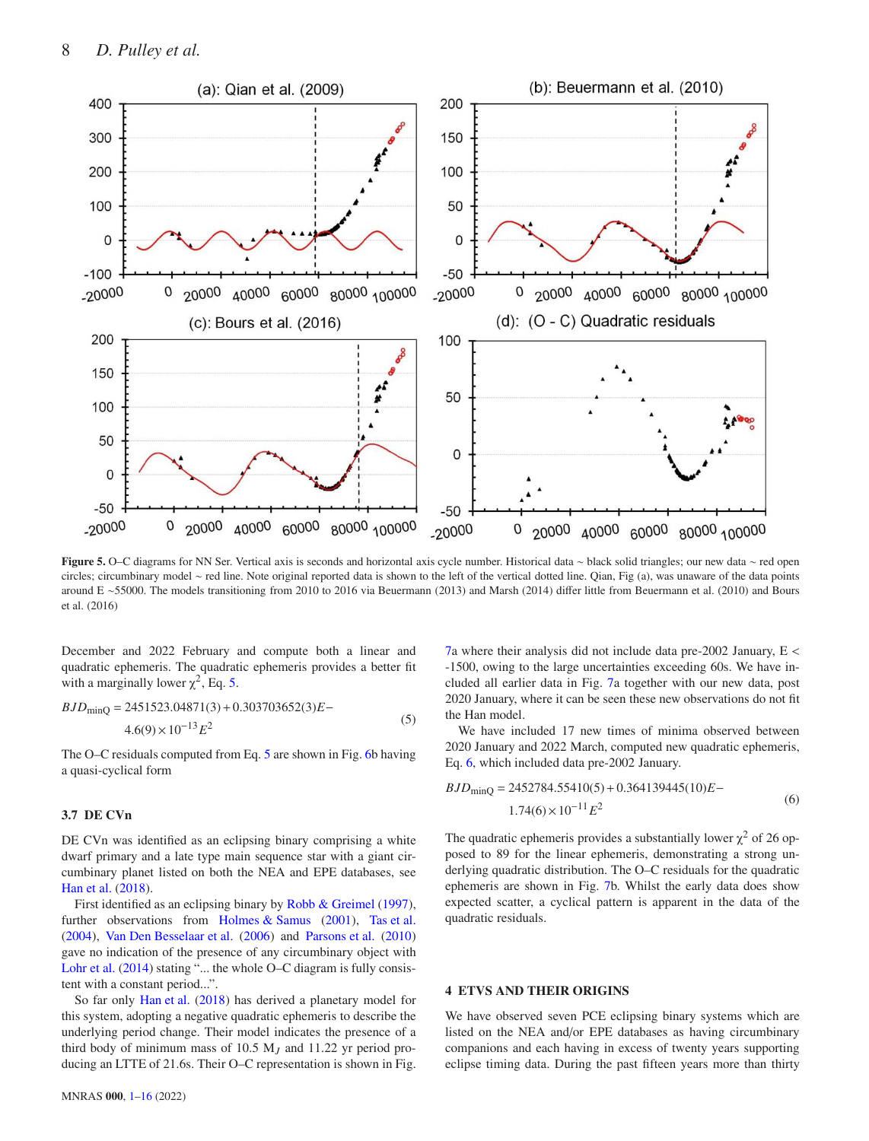<span id="page-7-0"></span>

Figure 5. O–C diagrams for NN Ser. Vertical axis is seconds and horizontal axis cycle number. Historical data ∼ black solid triangles; our new data ∼ red open circles; circumbinary model ∼ red line. Note original reported data is shown to the left of the vertical dotted line. Qian, Fig (a), was unaware of the data points around E ∼55000. The models transitioning from 2010 to 2016 via Beuermann (2013) and Marsh (2014) differ little from Beuermann et al. (2010) and Bours et al. (2016)

December and 2022 February and compute both a linear and quadratic ephemeris. The quadratic ephemeris provides a better fit with a marginally lower  $\chi^2$ , Eq. [5.](#page-7-1)

<span id="page-7-1"></span>
$$
BJD_{\text{minQ}} = 2451523.04871(3) + 0.303703652(3)E -
$$
  

$$
4.6(9) \times 10^{-13} E^2
$$
 (5)

The O–C residuals computed from Eq. [5](#page-7-1) are shown in Fig. [6b](#page-8-0) having a quasi-cyclical form

#### 3.7 DE CVn

DE CVn was identified as an eclipsing binary comprising a white dwarf primary and a late type main sequence star with a giant circumbinary planet listed on both the NEA and EPE databases, see [Han et al.](#page-11-6) [\(2018\)](#page-11-6).

First identified as an eclipsing binary by [Robb & Greimel](#page-12-11) [\(1997\)](#page-12-11), further observations from [Holmes & Samus](#page-11-52) [\(2001](#page-11-52)), [Tas et al.](#page-12-12) [\(2004](#page-12-12)), [Van Den Besselaar et al.](#page-12-13) [\(2006](#page-12-13)) and [Parsons et al.](#page-11-51) [\(2010](#page-11-51)) gave no indication of the presence of any circumbinary object with [Lohr et al.](#page-11-16) [\(2014](#page-11-16)) stating "... the whole O–C diagram is fully consistent with a constant period...".

So far only [Han et al.](#page-11-6) [\(2018](#page-11-6)) has derived a planetary model for this system, adopting a negative quadratic ephemeris to describe the underlying period change. Their model indicates the presence of a third body of minimum mass of 10.5 M*<sup>J</sup>* and 11.22 yr period producing an LTTE of 21.6s. Their O–C representation is shown in Fig. [7a](#page-8-1) where their analysis did not include data pre-2002 January, E < -1500, owing to the large uncertainties exceeding 60s. We have included all earlier data in Fig. [7a](#page-8-1) together with our new data, post 2020 January, where it can be seen these new observations do not fit the Han model.

We have included 17 new times of minima observed between 2020 January and 2022 March, computed new quadratic ephemeris, Eq. [6,](#page-7-2) which included data pre-2002 January.

<span id="page-7-2"></span>
$$
BJD_{\text{minQ}} = 2452784.55410(5) + 0.364139445(10)E - 1.74(6) \times 10^{-11} E^2
$$
 (6)

The quadratic ephemeris provides a substantially lower  $\chi^2$  of 26 opposed to 89 for the linear ephemeris, demonstrating a strong underlying quadratic distribution. The O–C residuals for the quadratic ephemeris are shown in Fig. [7b](#page-8-1). Whilst the early data does show expected scatter, a cyclical pattern is apparent in the data of the quadratic residuals.

#### 4 ETVS AND THEIR ORIGINS

We have observed seven PCE eclipsing binary systems which are listed on the NEA and/or EPE databases as having circumbinary companions and each having in excess of twenty years supporting eclipse timing data. During the past fifteen years more than thirty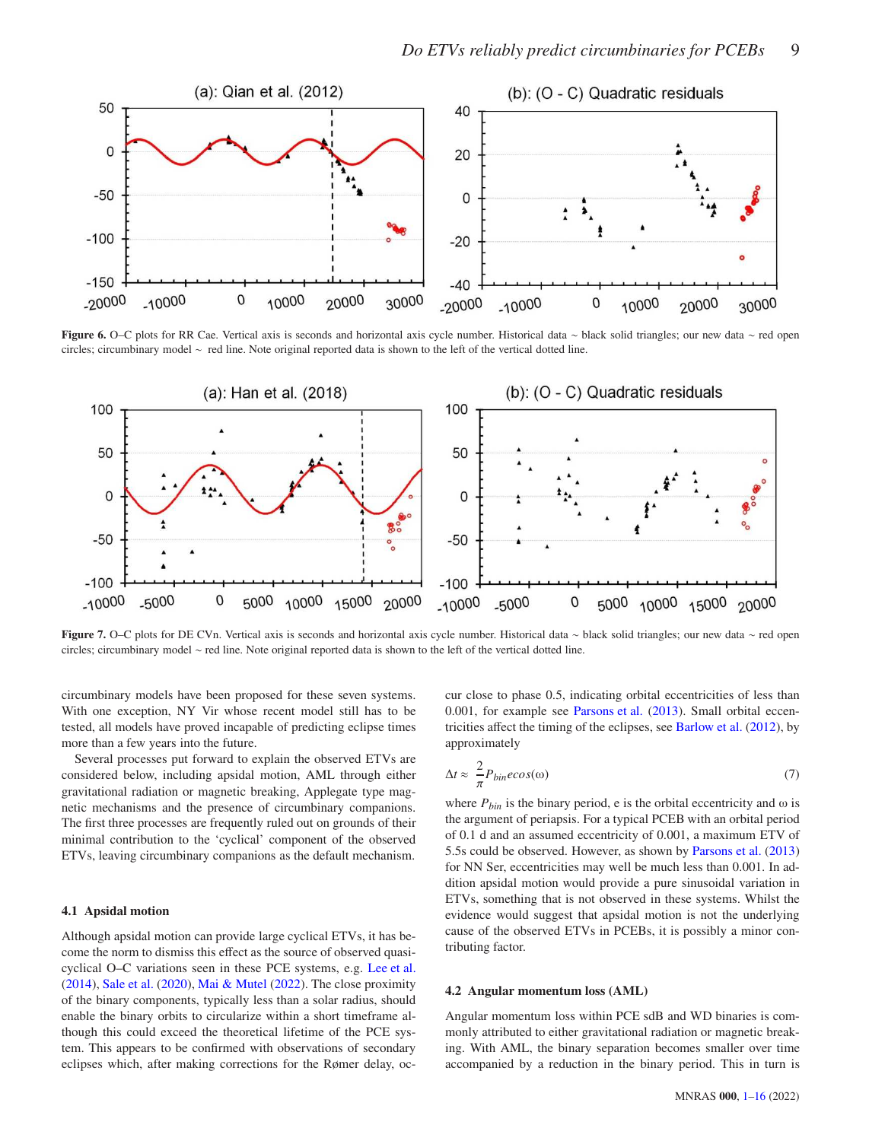<span id="page-8-0"></span>

Figure 6. O–C plots for RR Cae. Vertical axis is seconds and horizontal axis cycle number. Historical data ∼ black solid triangles; our new data ∼ red open circles; circumbinary model ∼ red line. Note original reported data is shown to the left of the vertical dotted line.

<span id="page-8-1"></span>

Figure 7. O–C plots for DE CVn. Vertical axis is seconds and horizontal axis cycle number. Historical data ∼ black solid triangles; our new data ∼ red open circles; circumbinary model ∼ red line. Note original reported data is shown to the left of the vertical dotted line.

circumbinary models have been proposed for these seven systems. With one exception, NY Vir whose recent model still has to be tested, all models have proved incapable of predicting eclipse times more than a few years into the future.

Several processes put forward to explain the observed ETVs are considered below, including apsidal motion, AML through either gravitational radiation or magnetic breaking, Applegate type magnetic mechanisms and the presence of circumbinary companions. The first three processes are frequently ruled out on grounds of their minimal contribution to the 'cyclical' component of the observed ETVs, leaving circumbinary companions as the default mechanism.

#### 4.1 Apsidal motion

Although apsidal motion can provide large cyclical ETVs, it has become the norm to dismiss this effect as the source of observed quasicyclical O–C variations seen in these PCE systems, e.g. [Lee et al.](#page-11-30) [\(2014](#page-11-30)), [Sale et al.](#page-12-1) [\(2020](#page-12-1)), [Mai & Mutel](#page-11-26) [\(2022](#page-11-26)). The close proximity of the binary components, typically less than a solar radius, should enable the binary orbits to circularize within a short timeframe although this could exceed the theoretical lifetime of the PCE system. This appears to be confirmed with observations of secondary eclipses which, after making corrections for the Rømer delay, occur close to phase 0.5, indicating orbital eccentricities of less than 0.001, for example see [Parsons et al.](#page-11-53) [\(2013](#page-11-53)). Small orbital eccentricities affect the timing of the eclipses, see [Barlow et al.](#page-11-54) [\(2012\)](#page-11-54), by approximately

$$
\Delta t \approx \frac{2}{\pi} P_{bin} e cos(\omega) \tag{7}
$$

where  $P_{bin}$  is the binary period, e is the orbital eccentricity and  $\omega$  is the argument of periapsis. For a typical PCEB with an orbital period of 0.1 d and an assumed eccentricity of 0.001, a maximum ETV of 5.5s could be observed. However, as shown by [Parsons et al.](#page-11-53) [\(2013](#page-11-53)) for NN Ser, eccentricities may well be much less than 0.001. In addition apsidal motion would provide a pure sinusoidal variation in ETVs, something that is not observed in these systems. Whilst the evidence would suggest that apsidal motion is not the underlying cause of the observed ETVs in PCEBs, it is possibly a minor contributing factor.

#### 4.2 Angular momentum loss (AML)

Angular momentum loss within PCE sdB and WD binaries is commonly attributed to either gravitational radiation or magnetic breaking. With AML, the binary separation becomes smaller over time accompanied by a reduction in the binary period. This in turn is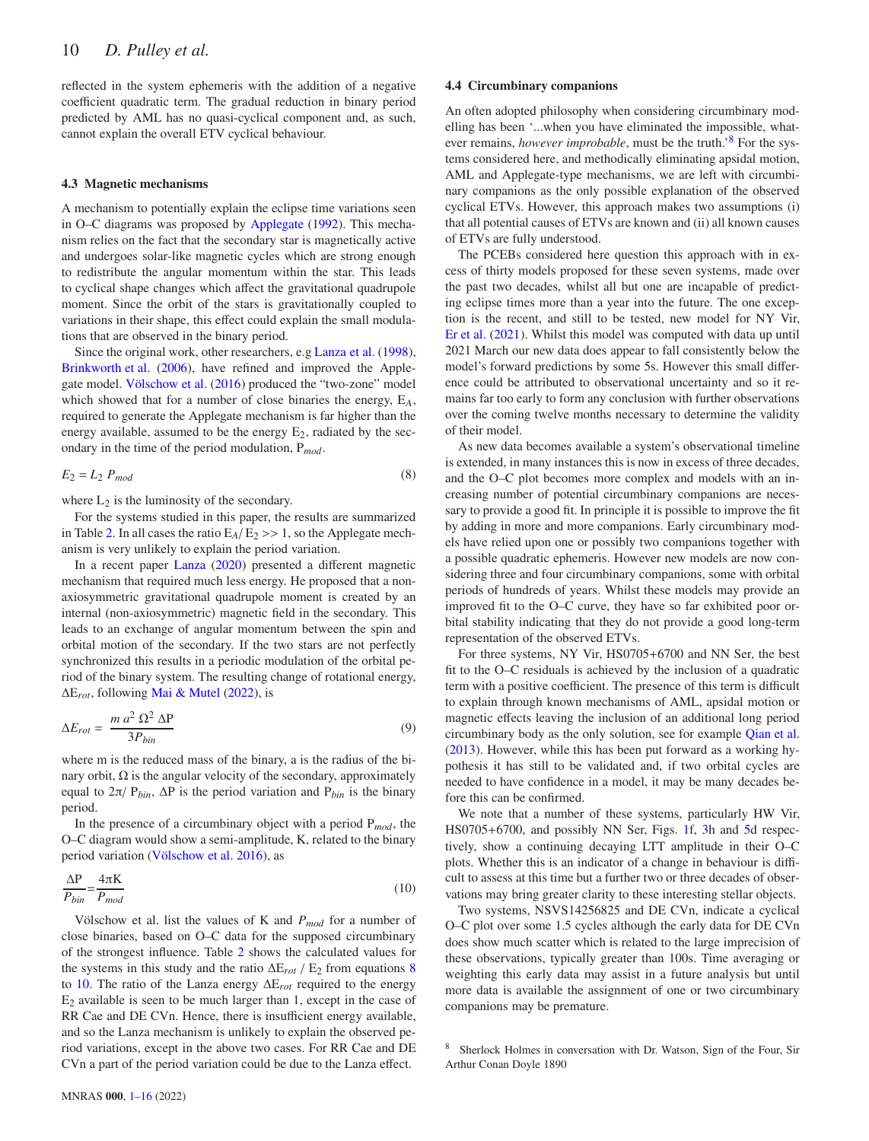reflected in the system ephemeris with the addition of a negative coefficient quadratic term. The gradual reduction in binary period predicted by AML has no quasi-cyclical component and, as such, cannot explain the overall ETV cyclical behaviour.

#### 4.3 Magnetic mechanisms

A mechanism to potentially explain the eclipse time variations seen in O–C diagrams was proposed by [Applegate](#page-11-43) [\(1992\)](#page-11-43). This mechanism relies on the fact that the secondary star is magnetically active and undergoes solar-like magnetic cycles which are strong enough to redistribute the angular momentum within the star. This leads to cyclical shape changes which affect the gravitational quadrupole moment. Since the orbit of the stars is gravitationally coupled to variations in their shape, this effect could explain the small modulations that are observed in the binary period.

Since the original work, other researchers, e.g [Lanza et al.](#page-11-55) [\(1998\)](#page-11-55), [Brinkworth et al.](#page-11-44) [\(2006](#page-11-44)), have refined and improved the Applegate model. [Völschow et al.](#page-12-14) [\(2016](#page-12-14)) produced the "two-zone" model which showed that for a number of close binaries the energy, E*A*, required to generate the Applegate mechanism is far higher than the energy available, assumed to be the energy  $E_2$ , radiated by the secondary in the time of the period modulation, P*mod*.

$$
E_2 = L_2 \ P_{mod} \tag{8}
$$

where  $L_2$  is the luminosity of the secondary.

For the systems studied in this paper, the results are summarized in Table [2.](#page-10-0) In all cases the ratio  $E_A/E_2 \gg 1$ , so the Applegate mechanism is very unlikely to explain the period variation.

In a recent paper [Lanza](#page-11-56) [\(2020\)](#page-11-56) presented a different magnetic mechanism that required much less energy. He proposed that a nonaxiosymmetric gravitational quadrupole moment is created by an internal (non-axiosymmetric) magnetic field in the secondary. This leads to an exchange of angular momentum between the spin and orbital motion of the secondary. If the two stars are not perfectly synchronized this results in a periodic modulation of the orbital period of the binary system. The resulting change of rotational energy, ∆E*rot*, following [Mai & Mutel](#page-11-26) [\(2022](#page-11-26)), is

$$
\Delta E_{rot} = \frac{m a^2 \Omega^2 \Delta P}{3 P_{bin}} \tag{9}
$$

where m is the reduced mass of the binary, a is the radius of the binary orbit,  $\Omega$  is the angular velocity of the secondary, approximately equal to 2π/ P*bin*, ∆P is the period variation and P*bin* is the binary period.

In the presence of a circumbinary object with a period P*mod*, the O–C diagram would show a semi-amplitude, K, related to the binary period variation [\(Völschow et al. 2016](#page-12-14)), as

$$
\frac{\Delta P}{P_{bin}} = \frac{4\pi K}{P_{mod}}
$$
\n(10)

Völschow et al. list the values of K and *Pmod* for a number of close binaries, based on O–C data for the supposed circumbinary of the strongest influence. Table [2](#page-10-0) shows the calculated values for the systems in this study and the ratio  $\Delta E_{rot}$  / E<sub>2</sub> from equations [8](#page-9-0) to [10.](#page-9-1) The ratio of the Lanza energy ∆E*rot* required to the energy  $E_2$  available is seen to be much larger than 1, except in the case of RR Cae and DE CVn. Hence, there is insufficient energy available, and so the Lanza mechanism is unlikely to explain the observed period variations, except in the above two cases. For RR Cae and DE CVn a part of the period variation could be due to the Lanza effect.

#### 4.4 Circumbinary companions

An often adopted philosophy when considering circumbinary modelling has been '...when you have eliminated the impossible, whatever remains, *however improbable*, must be the truth.'[8](#page-9-2) For the systems considered here, and methodically eliminating apsidal motion, AML and Applegate-type mechanisms, we are left with circumbinary companions as the only possible explanation of the observed cyclical ETVs. However, this approach makes two assumptions (i) that all potential causes of ETVs are known and (ii) all known causes of ETVs are fully understood.

The PCEBs considered here question this approach with in excess of thirty models proposed for these seven systems, made over the past two decades, whilst all but one are incapable of predicting eclipse times more than a year into the future. The one exception is the recent, and still to be tested, new model for NY Vir, [Er et al.](#page-11-32) [\(2021](#page-11-32)). Whilst this model was computed with data up until 2021 March our new data does appear to fall consistently below the model's forward predictions by some 5s. However this small difference could be attributed to observational uncertainty and so it remains far too early to form any conclusion with further observations over the coming twelve months necessary to determine the validity of their model.

<span id="page-9-0"></span>As new data becomes available a system's observational timeline is extended, in many instances this is now in excess of three decades, and the O–C plot becomes more complex and models with an increasing number of potential circumbinary companions are necessary to provide a good fit. In principle it is possible to improve the fit by adding in more and more companions. Early circumbinary models have relied upon one or possibly two companions together with a possible quadratic ephemeris. However new models are now considering three and four circumbinary companions, some with orbital periods of hundreds of years. Whilst these models may provide an improved fit to the O–C curve, they have so far exhibited poor orbital stability indicating that they do not provide a good long-term representation of the observed ETVs.

For three systems, NY Vir, HS0705+6700 and NN Ser, the best fit to the O–C residuals is achieved by the inclusion of a quadratic term with a positive coefficient. The presence of this term is difficult to explain through known mechanisms of AML, apsidal motion or magnetic effects leaving the inclusion of an additional long period circumbinary body as the only solution, see for example [Qian et al.](#page-11-4) [\(2013](#page-11-4)). However, while this has been put forward as a working hypothesis it has still to be validated and, if two orbital cycles are needed to have confidence in a model, it may be many decades before this can be confirmed.

<span id="page-9-1"></span>We note that a number of these systems, particularly HW Vir, HS0705+6700, and possibly NN Ser, Figs. [1f](#page-3-0), [3h](#page-5-0) and [5d](#page-7-0) respectively, show a continuing decaying LTT amplitude in their O–C plots. Whether this is an indicator of a change in behaviour is difficult to assess at this time but a further two or three decades of observations may bring greater clarity to these interesting stellar objects.

Two systems, NSVS14256825 and DE CVn, indicate a cyclical O–C plot over some 1.5 cycles although the early data for DE CVn does show much scatter which is related to the large imprecision of these observations, typically greater than 100s. Time averaging or weighting this early data may assist in a future analysis but until more data is available the assignment of one or two circumbinary companions may be premature.

<span id="page-9-2"></span><sup>8</sup> Sherlock Holmes in conversation with Dr. Watson, Sign of the Four, Sir Arthur Conan Doyle 1890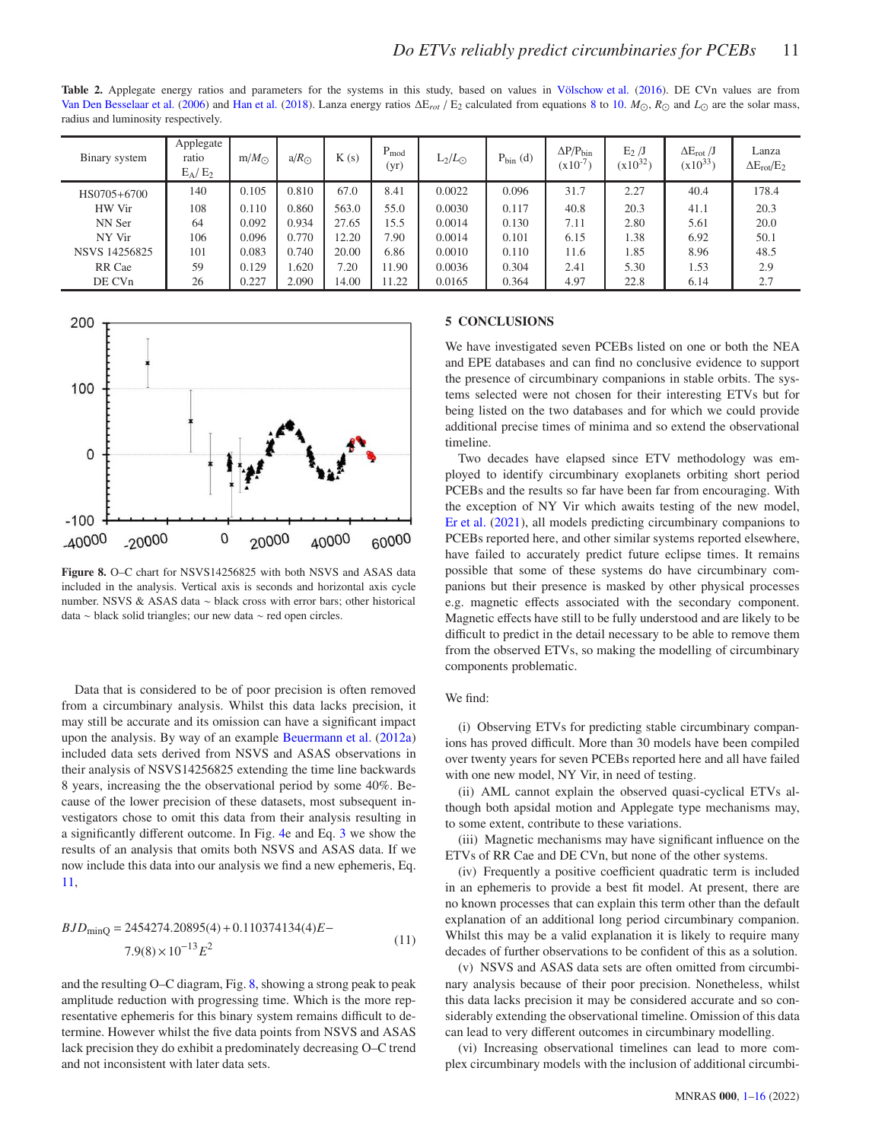<span id="page-10-0"></span>Table 2. Applegate energy ratios and parameters for the systems in this study, based on values in [Völschow et al.](#page-12-14) [\(2016\)](#page-12-14). DE CVn values are from [Van Den Besselaar et al.](#page-12-13) [\(2006\)](#page-12-13) and [Han et al.](#page-11-6) [\(2018](#page-11-6)). Lanza energy ratios ∆E*rot* / E<sup>2</sup> calculated from equations [8](#page-9-0) to [10.](#page-9-1) *M*⊙, *R*⊙ and *L*⊙ are the solar mass, radius and luminosity respectively.

| Binary system | Applegate<br>ratio<br>$E_A/E_2$ | $m/M_{\odot}$ | $a/R_{\odot}$ | K(s)  | $P_{mod}$<br>(yr) | $L_2/L_{\odot}$ | $P_{\text{bin}}(d)$ | $\Delta P/P_{\rm bin}$<br>$(x10^{-7})$ | $E_2/J$<br>$(x10^{32})$ | $\Delta E_{rot}$ /J<br>$(x10^{33})$ | Lanza<br>$\Delta E_{rot}/E_2$ |
|---------------|---------------------------------|---------------|---------------|-------|-------------------|-----------------|---------------------|----------------------------------------|-------------------------|-------------------------------------|-------------------------------|
| HS0705+6700   | 140                             | 0.105         | 0.810         | 67.0  | 8.41              | 0.0022          | 0.096               | 31.7                                   | 2.27                    | 40.4                                | 178.4                         |
| HW Vir        | 108                             | 0.110         | 0.860         | 563.0 | 55.0              | 0.0030          | 0.117               | 40.8                                   | 20.3                    | 41.1                                | 20.3                          |
| NN Ser        | 64                              | 0.092         | 0.934         | 27.65 | 15.5              | 0.0014          | 0.130               | 7.11                                   | 2.80                    | 5.61                                | 20.0                          |
| NY Vir        | 106                             | 0.096         | 0.770         | 12.20 | 7.90              | 0.0014          | 0.101               | 6.15                                   | 1.38                    | 6.92                                | 50.1                          |
| NSVS 14256825 | 101                             | 0.083         | 0.740         | 20.00 | 6.86              | 0.0010          | 0.110               | 11.6                                   | 1.85                    | 8.96                                | 48.5                          |
| RR Cae        | 59                              | 0.129         | 1.620         | 7.20  | 11.90             | 0.0036          | 0.304               | 2.41                                   | 5.30                    | 1.53                                | 2.9                           |
| DE CVn        | 26                              | 0.227         | 2.090         | 14.00 | 1.22              | 0.0165          | 0.364               | 4.97                                   | 22.8                    | 6.14                                | 2.7                           |

<span id="page-10-2"></span>

Figure 8. O–C chart for NSVS14256825 with both NSVS and ASAS data included in the analysis. Vertical axis is seconds and horizontal axis cycle number. NSVS & ASAS data ∼ black cross with error bars; other historical data ∼ black solid triangles; our new data ∼ red open circles.

Data that is considered to be of poor precision is often removed from a circumbinary analysis. Whilst this data lacks precision, it may still be accurate and its omission can have a significant impact upon the analysis. By way of an example [Beuermann et al.](#page-11-36) [\(2012a](#page-11-36)) included data sets derived from NSVS and ASAS observations in their analysis of NSVS14256825 extending the time line backwards 8 years, increasing the the observational period by some 40%. Because of the lower precision of these datasets, most subsequent investigators chose to omit this data from their analysis resulting in a significantly different outcome. In Fig. [4e](#page-6-0) and Eq. [3](#page-5-1) we show the results of an analysis that omits both NSVS and ASAS data. If we now include this data into our analysis we find a new ephemeris, Eq. [11,](#page-10-1)

<span id="page-10-1"></span>
$$
BJD_{\text{minQ}} = 2454274.20895(4) + 0.110374134(4)E -
$$
  
7.9(8) × 10<sup>-13</sup>E<sup>2</sup> (11)

and the resulting O–C diagram, Fig. [8,](#page-10-2) showing a strong peak to peak amplitude reduction with progressing time. Which is the more representative ephemeris for this binary system remains difficult to determine. However whilst the five data points from NSVS and ASAS lack precision they do exhibit a predominately decreasing O–C trend and not inconsistent with later data sets.

#### 5 CONCLUSIONS

We have investigated seven PCEBs listed on one or both the NEA and EPE databases and can find no conclusive evidence to support the presence of circumbinary companions in stable orbits. The systems selected were not chosen for their interesting ETVs but for being listed on the two databases and for which we could provide additional precise times of minima and so extend the observational timeline.

Two decades have elapsed since ETV methodology was employed to identify circumbinary exoplanets orbiting short period PCEBs and the results so far have been far from encouraging. With the exception of NY Vir which awaits testing of the new model, [Er et al.](#page-11-32) [\(2021](#page-11-32)), all models predicting circumbinary companions to PCEBs reported here, and other similar systems reported elsewhere, have failed to accurately predict future eclipse times. It remains possible that some of these systems do have circumbinary companions but their presence is masked by other physical processes e.g. magnetic effects associated with the secondary component. Magnetic effects have still to be fully understood and are likely to be difficult to predict in the detail necessary to be able to remove them from the observed ETVs, so making the modelling of circumbinary components problematic.

#### We find:

(i) Observing ETVs for predicting stable circumbinary companions has proved difficult. More than 30 models have been compiled over twenty years for seven PCEBs reported here and all have failed with one new model, NY Vir, in need of testing.

(ii) AML cannot explain the observed quasi-cyclical ETVs although both apsidal motion and Applegate type mechanisms may, to some extent, contribute to these variations.

(iii) Magnetic mechanisms may have significant influence on the ETVs of RR Cae and DE CVn, but none of the other systems.

(iv) Frequently a positive coefficient quadratic term is included in an ephemeris to provide a best fit model. At present, there are no known processes that can explain this term other than the default explanation of an additional long period circumbinary companion. Whilst this may be a valid explanation it is likely to require many decades of further observations to be confident of this as a solution.

(v) NSVS and ASAS data sets are often omitted from circumbinary analysis because of their poor precision. Nonetheless, whilst this data lacks precision it may be considered accurate and so considerably extending the observational timeline. Omission of this data can lead to very different outcomes in circumbinary modelling.

(vi) Increasing observational timelines can lead to more complex circumbinary models with the inclusion of additional circumbi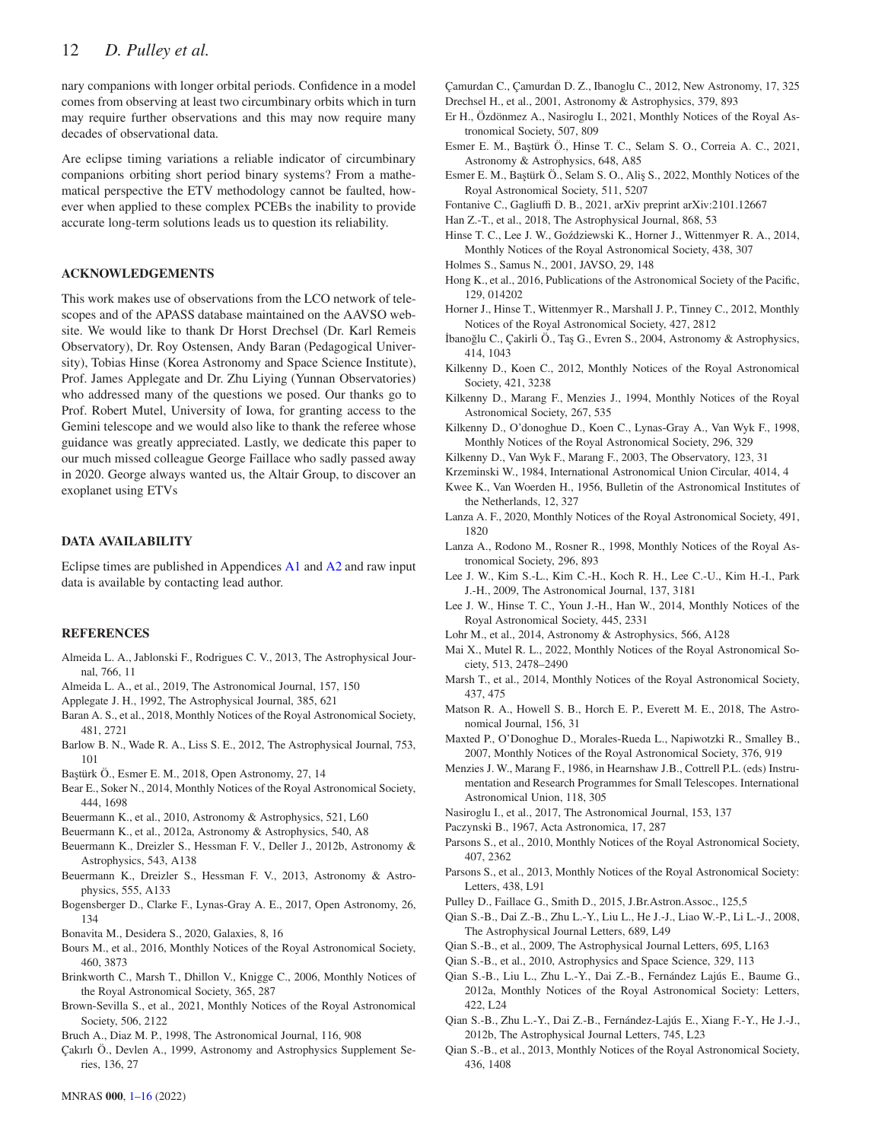nary companions with longer orbital periods. Confidence in a model comes from observing at least two circumbinary orbits which in turn may require further observations and this may now require many decades of observational data.

Are eclipse timing variations a reliable indicator of circumbinary companions orbiting short period binary systems? From a mathematical perspective the ETV methodology cannot be faulted, however when applied to these complex PCEBs the inability to provide accurate long-term solutions leads us to question its reliability.

#### ACKNOWLEDGEMENTS

This work makes use of observations from the LCO network of telescopes and of the APASS database maintained on the AAVSO website. We would like to thank Dr Horst Drechsel (Dr. Karl Remeis Observatory), Dr. Roy Ostensen, Andy Baran (Pedagogical University), Tobias Hinse (Korea Astronomy and Space Science Institute), Prof. James Applegate and Dr. Zhu Liying (Yunnan Observatories) who addressed many of the questions we posed. Our thanks go to Prof. Robert Mutel, University of Iowa, for granting access to the Gemini telescope and we would also like to thank the referee whose guidance was greatly appreciated. Lastly, we dedicate this paper to our much missed colleague George Faillace who sadly passed away in 2020. George always wanted us, the Altair Group, to discover an exoplanet using ETVs

#### DATA AVAILABILITY

Eclipse times are published in Appendices [A1](#page-13-0) and [A2](#page-14-0) and raw input data is available by contacting lead author.

#### REFERENCES

- <span id="page-11-41"></span>Almeida L. A., Jablonski F., Rodrigues C. V., 2013, The Astrophysical Journal, 766, 11
- <span id="page-11-7"></span>Almeida L. A., et al., 2019, The Astronomical Journal, 157, 150
- <span id="page-11-43"></span>Applegate J. H., 1992, The Astrophysical Journal, 385, 621
- <span id="page-11-27"></span>Baran A. S., et al., 2018, Monthly Notices of the Royal Astronomical Society, 481, 2721
- <span id="page-11-54"></span>Barlow B. N., Wade R. A., Liss S. E., 2012, The Astrophysical Journal, 753, 101
- <span id="page-11-31"></span>Ba¸stürk Ö., Esmer E. M., 2018, Open Astronomy, 27, 14
- <span id="page-11-13"></span>Bear E., Soker N., 2014, Monthly Notices of the Royal Astronomical Society, 444, 1698
- <span id="page-11-45"></span>Beuermann K., et al., 2010, Astronomy & Astrophysics, 521, L60
- <span id="page-11-36"></span>Beuermann K., et al., 2012a, Astronomy & Astrophysics, 540, A8
- <span id="page-11-8"></span>Beuermann K., Dreizler S., Hessman F. V., Deller J., 2012b, Astronomy & Astrophysics, 543, A138
- <span id="page-11-46"></span>Beuermann K., Dreizler S., Hessman F. V., 2013, Astronomy & Astrophysics, 555, A133
- <span id="page-11-38"></span>Bogensberger D., Clarke F., Lynas-Gray A. E., 2017, Open Astronomy, 26, 134
- <span id="page-11-1"></span>Bonavita M., Desidera S., 2020, Galaxies, 8, 16
- <span id="page-11-47"></span>Bours M., et al., 2016, Monthly Notices of the Royal Astronomical Society, 460, 3873
- <span id="page-11-44"></span>Brinkworth C., Marsh T., Dhillon V., Knigge C., 2006, Monthly Notices of the Royal Astronomical Society, 365, 287
- <span id="page-11-25"></span>Brown-Sevilla S., et al., 2021, Monthly Notices of the Royal Astronomical Society, 506, 2122
- <span id="page-11-49"></span>Bruch A., Diaz M. P., 1998, The Astronomical Journal, 116, 908
- <span id="page-11-19"></span>Çakırlı Ö., Devlen A., 1999, Astronomy and Astrophysics Supplement Series, 136, 27
- <span id="page-11-35"></span>Çamurdan C., Çamurdan D. Z., Ibanoglu C., 2012, New Astronomy, 17, 325
- <span id="page-11-33"></span>Drechsel H., et al., 2001, Astronomy & Astrophysics, 379, 893
- <span id="page-11-32"></span>Er H., Özdönmez A., Nasiroglu I., 2021, Monthly Notices of the Royal Astronomical Society, 507, 809
- <span id="page-11-24"></span>Esmer E. M., Baştürk Ö., Hinse T. C., Selam S. O., Correia A. C., 2021, Astronomy & Astrophysics, 648, A85
- <span id="page-11-5"></span>Esmer E. M., Baştürk Ö., Selam S. O., Aliş S., 2022, Monthly Notices of the Royal Astronomical Society, 511, 5207
- <span id="page-11-2"></span>Fontanive C., Gagliuffi D. B., 2021, arXiv preprint arXiv:2101.12667
- <span id="page-11-6"></span>Han Z.-T., et al., 2018, The Astrophysical Journal, 868, 53
- <span id="page-11-42"></span>Hinse T. C., Lee J. W., Goździewski K., Horner J., Wittenmyer R. A., 2014, Monthly Notices of the Royal Astronomical Society, 438, 307
- <span id="page-11-52"></span>Holmes S., Samus N., 2001, JAVSO, 29, 148
- <span id="page-11-10"></span>Hong K., et al., 2016, Publications of the Astronomical Society of the Pacific, 129, 014202
- <span id="page-11-23"></span>Horner J., Hinse T., Wittenmyer R., Marshall J. P., Tinney C., 2012, Monthly Notices of the Royal Astronomical Society, 427, 2812
- <span id="page-11-21"></span>İbanoğlu C., Çakirli Ö., Taş G., Evren S., 2004, Astronomy & Astrophysics, 414, 1043
- <span id="page-11-39"></span>Kilkenny D., Koen C., 2012, Monthly Notices of the Royal Astronomical Society, 421, 3238
- <span id="page-11-18"></span>Kilkenny D., Marang F., Menzies J., 1994, Monthly Notices of the Royal Astronomical Society, 267, 535
- <span id="page-11-28"></span>Kilkenny D., O'donoghue D., Koen C., Lynas-Gray A., Van Wyk F., 1998, Monthly Notices of the Royal Astronomical Society, 296, 329
- <span id="page-11-20"></span>Kilkenny D., Van Wyk F., Marang F., 2003, The Observatory, 123, 31
- <span id="page-11-48"></span>Krzeminski W., 1984, International Astronomical Union Circular, 4014, 4
- <span id="page-11-15"></span>Kwee K., Van Woerden H., 1956, Bulletin of the Astronomical Institutes of the Netherlands, 12, 327
- <span id="page-11-56"></span>Lanza A. F., 2020, Monthly Notices of the Royal Astronomical Society, 491, 1820
- <span id="page-11-55"></span>Lanza A., Rodono M., Rosner R., 1998, Monthly Notices of the Royal Astronomical Society, 296, 893
- <span id="page-11-3"></span>Lee J. W., Kim S.-L., Kim C.-H., Koch R. H., Lee C.-U., Kim H.-I., Park J.-H., 2009, The Astronomical Journal, 137, 3181
- <span id="page-11-30"></span>Lee J. W., Hinse T. C., Youn J.-H., Han W., 2014, Monthly Notices of the Royal Astronomical Society, 445, 2331
- <span id="page-11-16"></span>Lohr M., et al., 2014, Astronomy & Astrophysics, 566, A128
- <span id="page-11-26"></span>Mai X., Mutel R. L., 2022, Monthly Notices of the Royal Astronomical Society, 513, 2478–2490
- <span id="page-11-9"></span>Marsh T., et al., 2014, Monthly Notices of the Royal Astronomical Society, 437, 475
- <span id="page-11-0"></span>Matson R. A., Howell S. B., Horch E. P., Everett M. E., 2018, The Astronomical Journal, 156, 31
- <span id="page-11-50"></span>Maxted P., O'Donoghue D., Morales-Rueda L., Napiwotzki R., Smalley B., 2007, Monthly Notices of the Royal Astronomical Society, 376, 919
- <span id="page-11-17"></span>Menzies J. W., Marang F., 1986, in Hearnshaw J.B., Cottrell P.L. (eds) Instrumentation and Research Programmes for Small Telescopes. International Astronomical Union, 118, 305
- <span id="page-11-40"></span>Nasiroglu I., et al., 2017, The Astronomical Journal, 153, 137
- <span id="page-11-14"></span>Paczynski B., 1967, Acta Astronomica, 17, 287
- <span id="page-11-51"></span>Parsons S., et al., 2010, Monthly Notices of the Royal Astronomical Society, 407, 2362
- <span id="page-11-53"></span>Parsons S., et al., 2013, Monthly Notices of the Royal Astronomical Society: Letters, 438, L91
- <span id="page-11-37"></span>Pulley D., Faillace G., Smith D., 2015, J.Br.Astron.Assoc., 125,5
- <span id="page-11-22"></span>Qian S.-B., Dai Z.-B., Zhu L.-Y., Liu L., He J.-J., Liao W.-P., Li L.-J., 2008, The Astrophysical Journal Letters, 689, L49
- <span id="page-11-34"></span>Qian S.-B., et al., 2009, The Astrophysical Journal Letters, 695, L163
- <span id="page-11-12"></span>Qian S.-B., et al., 2010, Astrophysics and Space Science, 329, 113
- <span id="page-11-11"></span>Qian S.-B., Liu L., Zhu L.-Y., Dai Z.-B., Fernández Lajús E., Baume G., 2012a, Monthly Notices of the Royal Astronomical Society: Letters, 422, L24
- <span id="page-11-29"></span>Qian S.-B., Zhu L.-Y., Dai Z.-B., Fernández-Lajús E., Xiang F.-Y., He J.-J., 2012b, The Astrophysical Journal Letters, 745, L23
- <span id="page-11-4"></span>Qian S.-B., et al., 2013, Monthly Notices of the Royal Astronomical Society, 436, 1408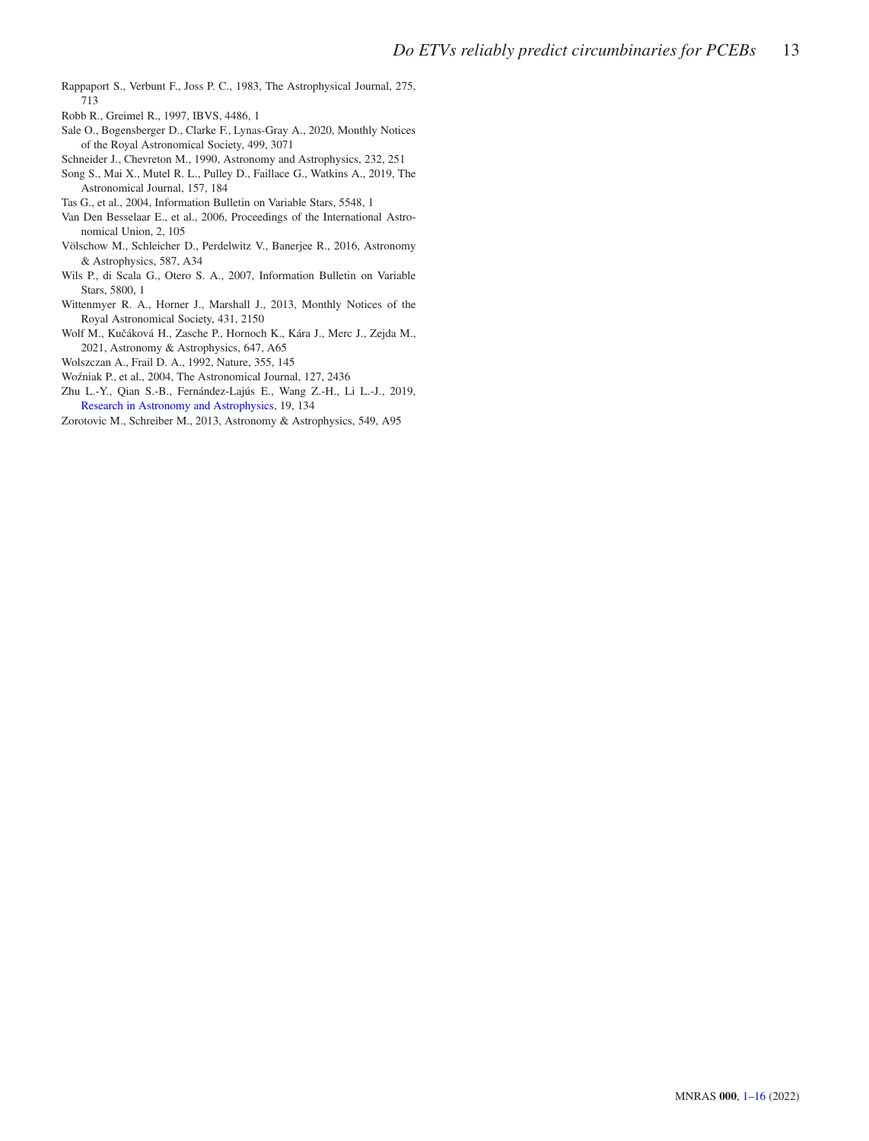- <span id="page-12-5"></span>Rappaport S., Verbunt F., Joss P. C., 1983, The Astrophysical Journal, 275, 713
- <span id="page-12-11"></span>Robb R., Greimel R., 1997, IBVS, 4486, 1
- <span id="page-12-1"></span>Sale O., Bogensberger D., Clarke F., Lynas-Gray A., 2020, Monthly Notices of the Royal Astronomical Society, 499, 3071
- <span id="page-12-6"></span>Schneider J., Chevreton M., 1990, Astronomy and Astrophysics, 232, 251
- <span id="page-12-3"></span>Song S., Mai X., Mutel R. L., Pulley D., Faillace G., Watkins A., 2019, The Astronomical Journal, 157, 184
- <span id="page-12-12"></span>Tas G., et al., 2004, Information Bulletin on Variable Stars, 5548, 1
- <span id="page-12-13"></span>Van Den Besselaar E., et al., 2006, Proceedings of the International Astronomical Union, 2, 105
- <span id="page-12-14"></span>Völschow M., Schleicher D., Perdelwitz V., Banerjee R., 2016, Astronomy & Astrophysics, 587, A34
- <span id="page-12-9"></span>Wils P., di Scala G., Otero S. A., 2007, Information Bulletin on Variable Stars, 5800, 1
- <span id="page-12-10"></span>Wittenmyer R. A., Horner J., Marshall J., 2013, Monthly Notices of the Royal Astronomical Society, 431, 2150
- <span id="page-12-4"></span>Wolf M., Kučáková H., Zasche P., Hornoch K., Kára J., Merc J., Zejda M., 2021, Astronomy & Astrophysics, 647, A65
- <span id="page-12-0"></span>Wolszczan A., Frail D. A., 1992, Nature, 355, 145
- <span id="page-12-8"></span>Wo´zniak P., et al., 2004, The Astronomical Journal, 127, 2436
- <span id="page-12-2"></span>Zhu L.-Y., Qian S.-B., Fernández-Lajús E., Wang Z.-H., Li L.-J., 2019, [Research in Astronomy and Astrophysics,](http://dx.doi.org/10.1088/1674-4527/19/9/134) 19, 134
- <span id="page-12-7"></span>Zorotovic M., Schreiber M., 2013, Astronomy & Astrophysics, 549, A95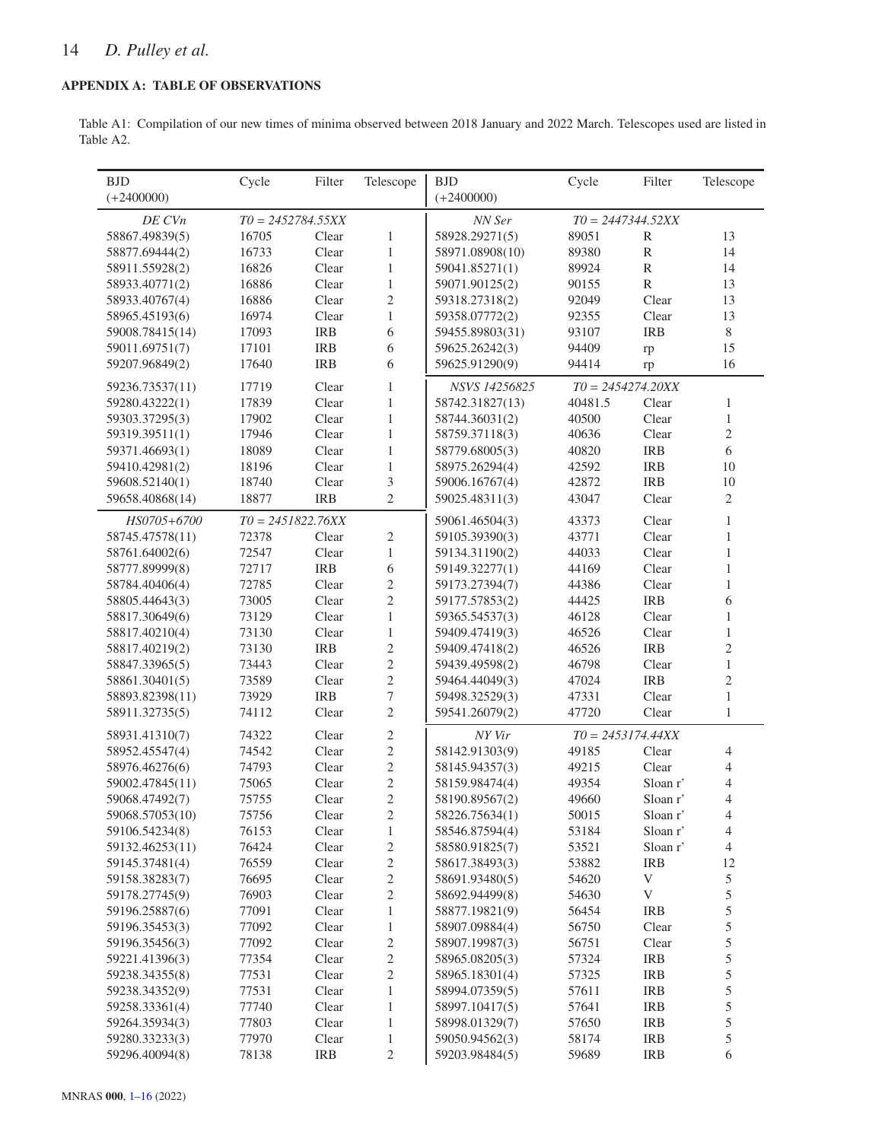### <span id="page-13-0"></span>APPENDIX A: TABLE OF OBSERVATIONS

Table A1: Compilation of our new times of minima observed between 2018 January and 2022 March. Telescopes used are listed in Table A2.

| <b>BJD</b>                       | Cycle               | Filter     | Telescope        | <b>BJD</b>      | Cycle   | Filter                    | Telescope      |
|----------------------------------|---------------------|------------|------------------|-----------------|---------|---------------------------|----------------|
| $(+2400000)$                     |                     |            |                  | $(+2400000)$    |         |                           |                |
| DE CVn                           | $T0 = 2452784.55XX$ |            |                  | NN Ser          |         | $T0 = 2447344.52XX$       |                |
| 58867.49839(5)                   | 16705               | Clear      | $\mathbf{1}$     | 58928.29271(5)  | 89051   | $\mathbb{R}$              | 13             |
| 58877.69444(2)                   | 16733               | Clear      | $\mathbf{1}$     | 58971.08908(10) | 89380   | ${\bf R}$                 | 14             |
| 58911.55928(2)                   | 16826               | Clear      | $\mathbf{1}$     | 59041.85271(1)  | 89924   | $\mathbb{R}$              | 14             |
| 58933.40771(2)                   | 16886               | Clear      | $\mathbf{1}$     | 59071.90125(2)  | 90155   | ${\bf R}$                 | 13             |
| 58933.40767(4)                   | 16886               | Clear      | 2                | 59318.27318(2)  | 92049   | Clear                     | 13             |
| 58965.45193(6)                   | 16974               | Clear      | $\mathbf{1}$     | 59358.07772(2)  | 92355   | Clear                     | 13             |
| 59008.78415(14)                  | 17093               | <b>IRB</b> | $\sqrt{6}$       | 59455.89803(31) | 93107   | <b>IRB</b>                | $8\,$          |
| 59011.69751(7)                   | 17101               | <b>IRB</b> | 6                | 59625.26242(3)  | 94409   | rp                        | 15             |
| 59207.96849(2)                   | 17640               | <b>IRB</b> | 6                | 59625.91290(9)  | 94414   | rp                        | 16             |
| 59236.73537(11)                  | 17719               | Clear      | $\mathbf{1}$     | NSVS 14256825   |         | $T0 = 2454274.20XX$       |                |
| 59280.43222(1)                   | 17839               | Clear      | $\mathbf{1}$     | 58742.31827(13) | 40481.5 | Clear                     | $\mathbf{1}$   |
| 59303.37295(3)                   | 17902               | Clear      | $\mathbf{1}$     | 58744.36031(2)  | 40500   | Clear                     | $\,1\,$        |
| 59319.39511(1)                   | 17946               | Clear      | $\mathbf{1}$     | 58759.37118(3)  | 40636   | Clear                     | $\overline{2}$ |
| 59371.46693(1)                   | 18089               | Clear      | $\mathbf{1}$     | 58779.68005(3)  | 40820   | <b>IRB</b>                | 6              |
| 59410.42981(2)                   | 18196               | Clear      | $\mathbf{1}$     | 58975.26294(4)  | 42592   | <b>IRB</b>                | 10             |
| 59608.52140(1)                   | 18740               | Clear      | 3                | 59006.16767(4)  | 42872   | <b>IRB</b>                | 10             |
| 59658.40868(14)                  | 18877               | <b>IRB</b> | $\overline{c}$   | 59025.48311(3)  | 43047   | Clear                     | $\mathfrak{2}$ |
| HS0705+6700                      | $T0 = 2451822.76XX$ |            |                  | 59061.46504(3)  | 43373   | Clear                     | $\mathbf{1}$   |
| 58745.47578(11)                  | 72378               | Clear      | 2                | 59105.39390(3)  | 43771   | Clear                     | $\mathbf{1}$   |
| 58761.64002(6)                   | 72547               | Clear      | $\mathbf{1}$     | 59134.31190(2)  | 44033   | Clear                     | $\mathbf{1}$   |
|                                  | 72717               | <b>IRB</b> | $\sqrt{6}$       | 59149.32277(1)  |         | Clear                     | $\mathbf{1}$   |
| 58777.89999(8)<br>58784.40406(4) | 72785               | Clear      | $\overline{c}$   |                 | 44169   | Clear                     | $\mathbf{1}$   |
|                                  |                     |            |                  | 59173.27394(7)  | 44386   |                           |                |
| 58805.44643(3)                   | 73005               | Clear      | $\overline{c}$   | 59177.57853(2)  | 44425   | <b>IRB</b>                | 6              |
| 58817.30649(6)                   | 73129               | Clear      | $\mathbf{1}$     | 59365.54537(3)  | 46128   | Clear                     | $\mathbf{1}$   |
| 58817.40210(4)                   | 73130               | Clear      | $\mathbf{1}$     | 59409.47419(3)  | 46526   | Clear                     | $\mathbf{1}$   |
| 58817.40219(2)                   | 73130               | <b>IRB</b> | 2                | 59409.47418(2)  | 46526   | <b>IRB</b>                | $\mathfrak{2}$ |
| 58847.33965(5)                   | 73443               | Clear      | $\overline{c}$   | 59439.49598(2)  | 46798   | Clear                     | $\mathbf{1}$   |
| 58861.30401(5)                   | 73589               | Clear      | $\mathbf{2}$     | 59464.44049(3)  | 47024   | <b>IRB</b>                | $\sqrt{2}$     |
| 58893.82398(11)                  | 73929               | <b>IRB</b> | 7                | 59498.32529(3)  | 47331   | Clear                     | $\mathbf{1}$   |
| 58911.32735(5)                   | 74112               | Clear      | $\overline{c}$   | 59541.26079(2)  | 47720   | Clear                     | $\mathbf{1}$   |
| 58931.41310(7)                   | 74322               | Clear      | $\boldsymbol{2}$ | NY Vir          |         | $T0 = 2453174.44XX$       |                |
| 58952.45547(4)                   | 74542               | Clear      | $\mathbf{2}$     | 58142.91303(9)  | 49185   | Clear                     | $\overline{4}$ |
| 58976.46276(6)                   | 74793               | Clear      | $\overline{c}$   | 58145.94357(3)  | 49215   | Clear                     | $\overline{4}$ |
| 59002.47845(11)                  | 75065               | Clear      | $\overline{c}$   | 58159.98474(4)  | 49354   | Sloan r'                  | $\overline{4}$ |
| 59068.47492(7)                   | 75755               | Clear      | $\overline{c}$   | 58190.89567(2)  | 49660   | Sloan r'                  | $\overline{4}$ |
| 59068.57053(10)                  | 75756               | Clear      | $\overline{2}$   | 58226.75634(1)  | 50015   | Sloan r'                  | $\overline{4}$ |
| 59106.54234(8)                   | 76153               | Clear      | $\mathbf{1}$     | 58546.87594(4)  | 53184   | Sloan r'                  | $\overline{4}$ |
| 59132.46253(11)                  | 76424               | Clear      | $\overline{c}$   | 58580.91825(7)  | 53521   | Sloan r'                  | $\overline{4}$ |
| 59145.37481(4)                   | 76559               | Clear      | $\overline{c}$   | 58617.38493(3)  | 53882   | <b>IRB</b>                | 12             |
| 59158.38283(7)                   | 76695               | Clear      | $\mathbf{2}$     | 58691.93480(5)  | 54620   | $\ensuremath{\mathsf{V}}$ | $\mathfrak s$  |
| 59178.27745(9)                   | 76903               | Clear      | $\overline{c}$   | 58692.94499(8)  | 54630   | $\ensuremath{\mathbf{V}}$ | 5              |
| 59196.25887(6)                   | 77091               | Clear      | $\mathbf{1}$     | 58877.19821(9)  | 56454   | <b>IRB</b>                | 5              |
| 59196.35453(3)                   | 77092               | Clear      | $\mathbf{1}$     | 58907.09884(4)  | 56750   | Clear                     | 5              |
| 59196.35456(3)                   | 77092               | Clear      | $\overline{c}$   | 58907.19987(3)  | 56751   | Clear                     | 5              |
| 59221.41396(3)                   | 77354               | Clear      | $\overline{c}$   | 58965.08205(3)  | 57324   | <b>IRB</b>                | 5              |
| 59238.34355(8)                   | 77531               | Clear      | $\mathbf{2}$     | 58965.18301(4)  | 57325   | <b>IRB</b>                | 5              |
| 59238.34352(9)                   | 77531               | Clear      | 1                | 58994.07359(5)  | 57611   | <b>IRB</b>                | 5              |
| 59258.33361(4)                   | 77740               | Clear      | 1                | 58997.10417(5)  | 57641   | <b>IRB</b>                | 5              |
| 59264.35934(3)                   | 77803               | Clear      | $\mathbf{1}$     | 58998.01329(7)  | 57650   | <b>IRB</b>                | 5              |
| 59280.33233(3)                   | 77970               | Clear      | $\mathbf{1}$     | 59050.94562(3)  | 58174   | <b>IRB</b>                | $\mathfrak s$  |
| 59296.40094(8)                   | 78138               | <b>IRB</b> | 2                | 59203.98484(5)  | 59689   | <b>IRB</b>                | 6              |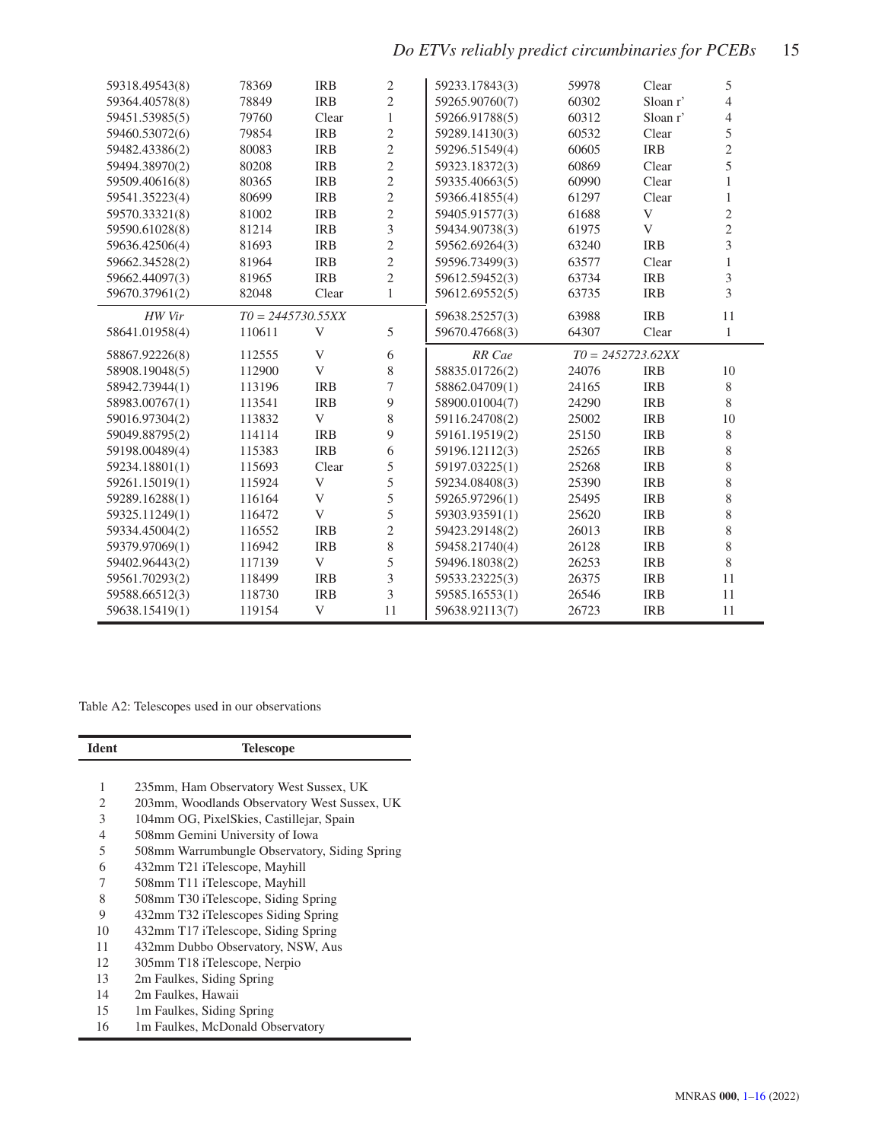# *Do ETVs reliably predict circumbinaries for PCEBs* 15

| 59318.49543(8) | 78369               | <b>IRB</b>  | 2              | 59233.17843(3) | 59978               | Clear      | 5              |
|----------------|---------------------|-------------|----------------|----------------|---------------------|------------|----------------|
| 59364.40578(8) | 78849               | <b>IRB</b>  | 2              | 59265.90760(7) | 60302               | Sloan r'   | 4              |
| 59451.53985(5) | 79760               | Clear       | 1              | 59266.91788(5) | 60312               | Sloan r'   | 4              |
| 59460.53072(6) | 79854               | <b>IRB</b>  | 2              | 59289.14130(3) | 60532               | Clear      | 5              |
| 59482.43386(2) | 80083               | <b>IRB</b>  | $\overline{c}$ | 59296.51549(4) | 60605               | <b>IRB</b> | $\overline{c}$ |
| 59494.38970(2) | 80208               | <b>IRB</b>  | $\overline{c}$ | 59323.18372(3) | 60869               | Clear      | 5              |
| 59509.40616(8) | 80365               | <b>IRB</b>  | $\overline{c}$ | 59335.40663(5) | 60990               | Clear      | 1              |
| 59541.35223(4) | 80699               | <b>IRB</b>  | $\overline{c}$ | 59366.41855(4) | 61297               | Clear      | 1              |
| 59570.33321(8) | 81002               | <b>IRB</b>  | $\overline{c}$ | 59405.91577(3) | 61688               | V          | $\overline{c}$ |
| 59590.61028(8) | 81214               | <b>IRB</b>  | 3              | 59434.90738(3) | 61975               | V          | $\overline{2}$ |
| 59636.42506(4) | 81693               | <b>IRB</b>  | 2              | 59562.69264(3) | 63240               | <b>IRB</b> | $\overline{3}$ |
| 59662.34528(2) | 81964               | <b>IRB</b>  | 2              | 59596.73499(3) | 63577               | Clear      | 1              |
| 59662.44097(3) | 81965               | <b>IRB</b>  | $\overline{c}$ | 59612.59452(3) | 63734               | <b>IRB</b> | 3              |
| 59670.37961(2) | 82048               | Clear       | $\mathbf{1}$   | 59612.69552(5) | 63735               | <b>IRB</b> | 3              |
| HW Vir         | $T0 = 2445730.55XX$ |             |                | 59638.25257(3) | 63988               | <b>IRB</b> | 11             |
| 58641.01958(4) | 110611              | V           | 5              | 59670.47668(3) | 64307               | Clear      | $\mathbf{1}$   |
|                |                     |             |                |                |                     |            |                |
| 58867.92226(8) | 112555              | V           | 6              | RR Cae         | $T0 = 2452723.62XX$ |            |                |
| 58908.19048(5) | 112900              | V           | 8              | 58835.01726(2) | 24076               | <b>IRB</b> | 10             |
| 58942.73944(1) | 113196              | <b>IRB</b>  | 7              | 58862.04709(1) | 24165               | <b>IRB</b> | 8              |
| 58983.00767(1) | 113541              | <b>IRB</b>  | 9              | 58900.01004(7) | 24290               | <b>IRB</b> | 8              |
| 59016.97304(2) | 113832              | V           | 8              | 59116.24708(2) | 25002               | <b>IRB</b> | 10             |
| 59049.88795(2) | 114114              | <b>IRB</b>  | 9              | 59161.19519(2) | 25150               | <b>IRB</b> | 8              |
| 59198.00489(4) | 115383              | <b>IRB</b>  | 6              | 59196.12112(3) | 25265               | <b>IRB</b> | 8              |
| 59234.18801(1) | 115693              | Clear       | 5              | 59197.03225(1) | 25268               | <b>IRB</b> | 8              |
| 59261.15019(1) | 115924              | $\mathbf V$ | 5              | 59234.08408(3) | 25390               | <b>IRB</b> | 8              |
| 59289.16288(1) | 116164              | V           | 5              | 59265.97296(1) | 25495               | <b>IRB</b> | 8              |
| 59325.11249(1) | 116472              | V           | 5              | 59303.93591(1) | 25620               | <b>IRB</b> | 8              |
| 59334.45004(2) | 116552              | <b>IRB</b>  | 2              | 59423.29148(2) | 26013               | <b>IRB</b> | 8              |
| 59379.97069(1) | 116942              | <b>IRB</b>  | 8              | 59458.21740(4) | 26128               | <b>IRB</b> | 8              |
| 59402.96443(2) | 117139              | V           | 5              | 59496.18038(2) | 26253               | <b>IRB</b> | 8              |
| 59561.70293(2) | 118499              | <b>IRB</b>  | 3              | 59533.23225(3) | 26375               | <b>IRB</b> | 11             |
| 59588.66512(3) | 118730              | <b>IRB</b>  | 3              | 59585.16553(1) | 26546               | <b>IRB</b> | 11             |

<span id="page-14-0"></span>Table A2: Telescopes used in our observations

| <b>Ident</b> | <b>Telescope</b>                              |
|--------------|-----------------------------------------------|
|              |                                               |
| 1            | 235mm, Ham Observatory West Sussex, UK        |
| 2            | 203mm, Woodlands Observatory West Sussex, UK  |
| 3            | 104mm OG, PixelSkies, Castillejar, Spain      |
| 4            | 508mm Gemini University of Iowa               |
| 5            | 508mm Warrumbungle Observatory, Siding Spring |
| 6            | 432mm T21 iTelescope, Mayhill                 |
| 7            | 508mm T11 iTelescope, Mayhill                 |
| 8            | 508mm T30 iTelescope, Siding Spring           |
| 9            | 432mm T32 iTelescopes Siding Spring           |
| 10           | 432mm T17 iTelescope, Siding Spring           |
| 11           | 432mm Dubbo Observatory, NSW, Aus             |
| 12           | 305mm T18 iTelescope, Nerpio                  |
| 13           | 2m Faulkes, Siding Spring                     |
| 14           | 2m Faulkes, Hawaii                            |
| 15           | 1m Faulkes, Siding Spring                     |
| 16           | 1m Faulkes, McDonald Observatory              |